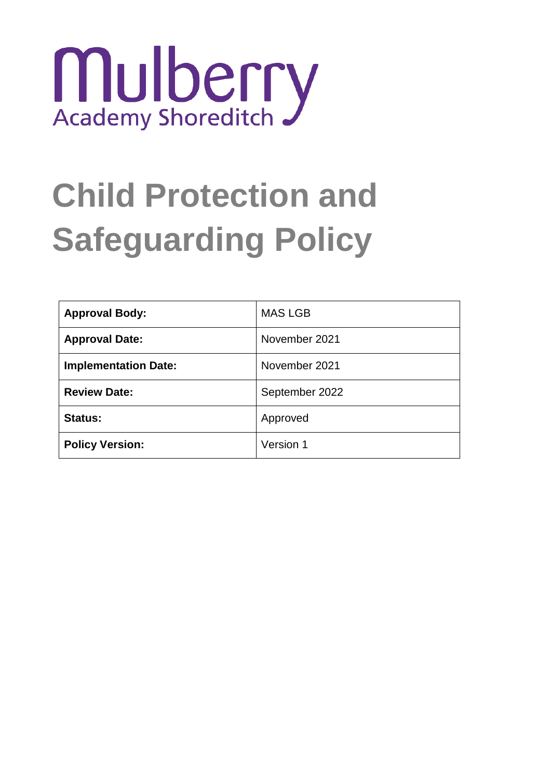

# **Child Protection and Safeguarding Policy**

| <b>Approval Body:</b>       | <b>MAS LGB</b> |
|-----------------------------|----------------|
| <b>Approval Date:</b>       | November 2021  |
| <b>Implementation Date:</b> | November 2021  |
| <b>Review Date:</b>         | September 2022 |
| <b>Status:</b>              | Approved       |
| <b>Policy Version:</b>      | Version 1      |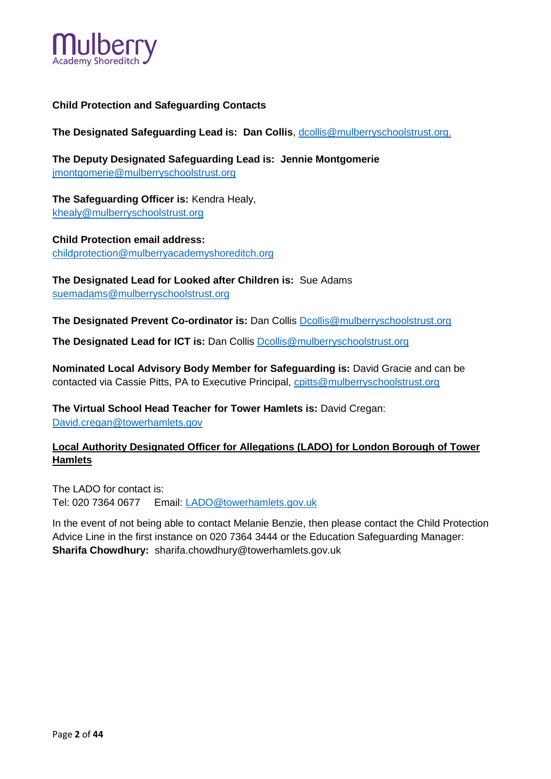

## **Child Protection and Safeguarding Contacts**

The Designated Safeguarding Lead is: Dan Collis, dcollis@mulberryschoolstrust.org.

**The Deputy Designated Safeguarding Lead is: Jennie Montgomerie**  [jmontgomerie@mulberryschoolstrust.org](mailto:jmontgomerie@mulberryschoolstrust.org)

**The Safeguarding Officer is:** Kendra Healy, khealy@mulberryschoolstrust.org

**Child Protection email address:** [childprotection@mulberryacademyshoreditch.org](mailto:childprotection@mulberryacademyshoreditch.org)

**The Designated Lead for Looked after Children is:** Sue Adams [suemadams@mulberryschoolstrust.org](mailto:suemadams@mulberryschoolstrust.org)

**The Designated Prevent Co-ordinator is:** Dan Collis [Dcollis@mulberryschoolstrust.org](mailto:Dcollis@mulberryschoolstrust.org)

**The Designated Lead for ICT is:** Dan Collis [Dcollis@mulberryschoolstrust.org](mailto:Dcollis@mulberryschoolstrust.org)

**Nominated Local Advisory Body Member for Safeguarding is:** David Gracie and can be contacted via Cassie Pitts, PA to Executive Principal, cpitts@mulberryschoolstrust.org

**The Virtual School Head Teacher for Tower Hamlets is:** David Cregan: David.cregan@towerhamlets.gov

# **Local Authority Designated Officer for Allegations (LADO) for London Borough of Tower Hamlets**

The LADO for contact is: Tel: 020 7364 0677 Email: [LADO@towerhamlets.gov.uk](mailto:LADO@towerhamlets.gov.uk)

In the event of not being able to contact Melanie Benzie, then please contact the Child Protection Advice Line in the first instance on 020 7364 3444 or the Education Safeguarding Manager: **Sharifa Chowdhury:** sharifa.chowdhury@towerhamlets.gov.uk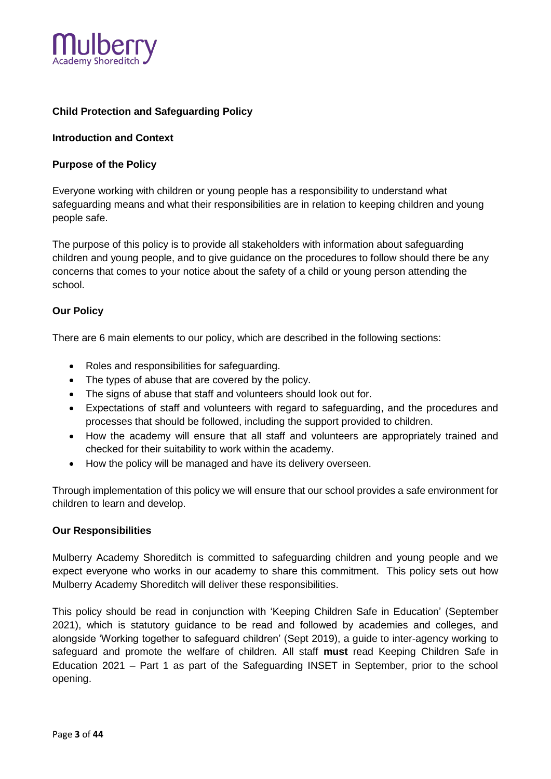

# **Child Protection and Safeguarding Policy**

#### **Introduction and Context**

#### **Purpose of the Policy**

Everyone working with children or young people has a responsibility to understand what safeguarding means and what their responsibilities are in relation to keeping children and young people safe.

The purpose of this policy is to provide all stakeholders with information about safeguarding children and young people, and to give guidance on the procedures to follow should there be any concerns that comes to your notice about the safety of a child or young person attending the school.

#### **Our Policy**

There are 6 main elements to our policy, which are described in the following sections:

- Roles and responsibilities for safeguarding.
- The types of abuse that are covered by the policy.
- The signs of abuse that staff and volunteers should look out for.
- Expectations of staff and volunteers with regard to safeguarding, and the procedures and processes that should be followed, including the support provided to children.
- How the academy will ensure that all staff and volunteers are appropriately trained and checked for their suitability to work within the academy.
- How the policy will be managed and have its delivery overseen.

Through implementation of this policy we will ensure that our school provides a safe environment for children to learn and develop.

#### **Our Responsibilities**

Mulberry Academy Shoreditch is committed to safeguarding children and young people and we expect everyone who works in our academy to share this commitment. This policy sets out how Mulberry Academy Shoreditch will deliver these responsibilities.

This policy should be read in conjunction with 'Keeping Children Safe in Education' (September 2021), which is statutory guidance to be read and followed by academies and colleges, and alongside 'Working together to safeguard children' (Sept 2019), a guide to inter-agency working to safeguard and promote the welfare of children. All staff **must** read Keeping Children Safe in Education 2021 – Part 1 as part of the Safeguarding INSET in September, prior to the school opening.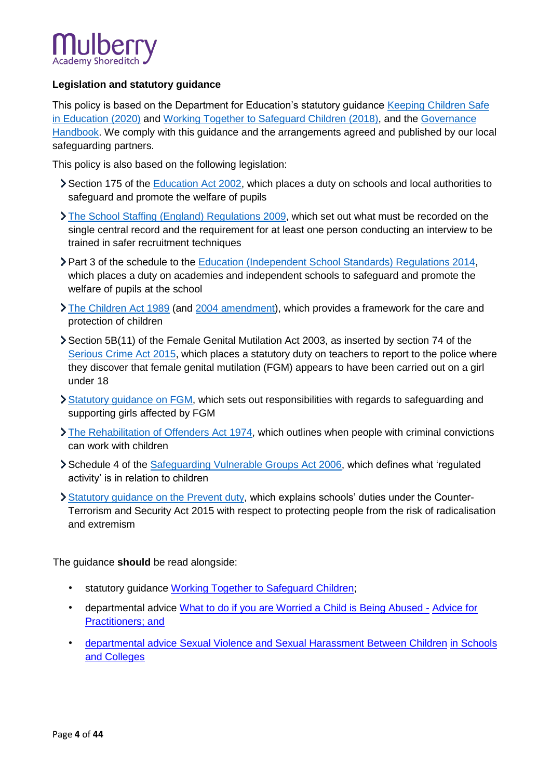

# **Legislation and statutory guidance**

This policy is based on the Department for Education's statutory guidance Keeping Children Safe [in Education \(2020\)](https://www.gov.uk/government/publications/keeping-children-safe-in-education--2) and [Working Together to Safeguard Children \(2018\),](https://www.gov.uk/government/publications/working-together-to-safeguard-children--2) and the [Governance](https://www.gov.uk/government/publications/governance-handbook)  [Handbook.](https://www.gov.uk/government/publications/governance-handbook) We comply with this guidance and the arrangements agreed and published by our local safeguarding partners.

This policy is also based on the following legislation:

- Section 175 of the [Education Act 2002,](http://www.legislation.gov.uk/ukpga/2002/32/section/175) which places a duty on schools and local authorities to safeguard and promote the welfare of pupils
- [The School Staffing \(England\) Regulations 2009,](http://www.legislation.gov.uk/uksi/2009/2680/contents/made) which set out what must be recorded on the single central record and the requirement for at least one person conducting an interview to be trained in safer recruitment techniques
- Part 3 of the schedule to the [Education \(Independent School Standards\) Regulations 2014,](http://www.legislation.gov.uk/uksi/2014/3283/schedule/part/3/made) which places a duty on academies and independent schools to safeguard and promote the welfare of pupils at the school
- [The Children Act 1989](http://www.legislation.gov.uk/ukpga/1989/41) (and [2004 amendment\)](http://www.legislation.gov.uk/ukpga/2004/31/contents), which provides a framework for the care and protection of children
- Section 5B(11) of the Female Genital Mutilation Act 2003, as inserted by section 74 of the [Serious Crime Act 2015,](http://www.legislation.gov.uk/ukpga/2015/9/part/5/crossheading/female-genital-mutilation) which places a statutory duty on teachers to report to the police where they discover that female genital mutilation (FGM) appears to have been carried out on a girl under 18
- [Statutory guidance on FGM,](https://www.gov.uk/government/publications/multi-agency-statutory-guidance-on-female-genital-mutilation) which sets out responsibilities with regards to safeguarding and supporting girls affected by FGM
- [The Rehabilitation of Offenders Act 1974,](http://www.legislation.gov.uk/ukpga/1974/53) which outlines when people with criminal convictions can work with children
- Schedule 4 of the [Safeguarding Vulnerable Groups Act 2006,](http://www.legislation.gov.uk/ukpga/2006/47/schedule/4) which defines what 'regulated activity' is in relation to children
- [Statutory guidance on the Prevent duty,](https://www.gov.uk/government/publications/prevent-duty-guidance) which explains schools' duties under the Counter-Terrorism and Security Act 2015 with respect to protecting people from the risk of radicalisation and extremism

The guidance **should** be read alongside:

- statutory guidance [Working Together to Safeguard Children;](https://www.gov.uk/government/publications/working-together-to-safeguard-children--2)
- departmental advice [What to do if you are Worried a Child is Being Abused -](https://www.gov.uk/government/publications/what-to-do-if-youre-worried-a-child-is-being-abused--2) Advice for [Practitioners;](https://www.gov.uk/government/publications/what-to-do-if-youre-worried-a-child-is-being-abused--2) and
- departmental advice [Sexual Violence and Sexual Harassment Between Children](https://www.gov.uk/government/publications/sexual-violence-and-sexual-harassment-between-children-in-schools-and-colleges) [in Schools](https://www.gov.uk/government/publications/sexual-violence-and-sexual-harassment-between-children-in-schools-and-colleges)  [and Colleges](https://www.gov.uk/government/publications/sexual-violence-and-sexual-harassment-between-children-in-schools-and-colleges)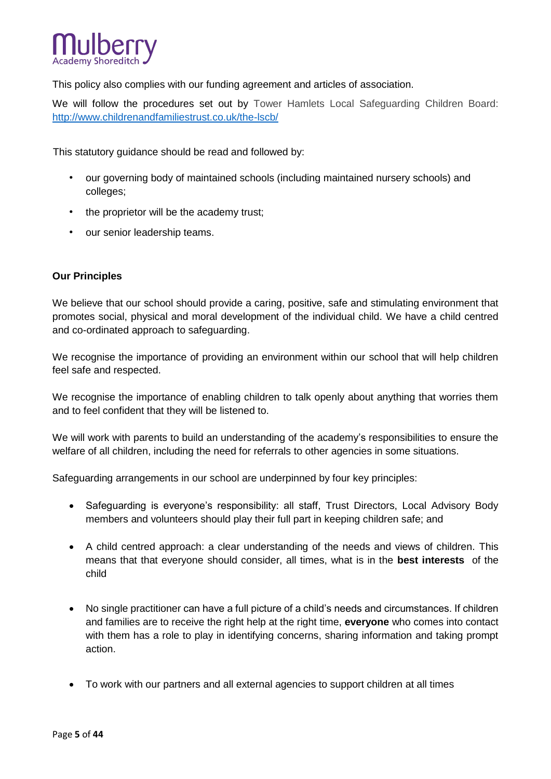

This policy also complies with our funding agreement and articles of association.

We will follow the procedures set out by Tower Hamlets Local Safeguarding Children Board: <http://www.childrenandfamiliestrust.co.uk/the-lscb/>

This statutory guidance should be read and followed by:

- our governing body of maintained schools (including maintained nursery schools) and colleges;
- the proprietor will be the academy trust;
- our senior leadership teams.

#### **Our Principles**

We believe that our school should provide a caring, positive, safe and stimulating environment that promotes social, physical and moral development of the individual child. We have a child centred and co-ordinated approach to safeguarding.

We recognise the importance of providing an environment within our school that will help children feel safe and respected.

We recognise the importance of enabling children to talk openly about anything that worries them and to feel confident that they will be listened to.

We will work with parents to build an understanding of the academy's responsibilities to ensure the welfare of all children, including the need for referrals to other agencies in some situations.

Safeguarding arrangements in our school are underpinned by four key principles:

- Safeguarding is everyone's responsibility: all staff, Trust Directors, Local Advisory Body members and volunteers should play their full part in keeping children safe; and
- A child centred approach: a clear understanding of the needs and views of children. This means that that everyone should consider, all times, what is in the **best interests** of the child
- No single practitioner can have a full picture of a child's needs and circumstances. If children and families are to receive the right help at the right time, **everyone** who comes into contact with them has a role to play in identifying concerns, sharing information and taking prompt action.
- To work with our partners and all external agencies to support children at all times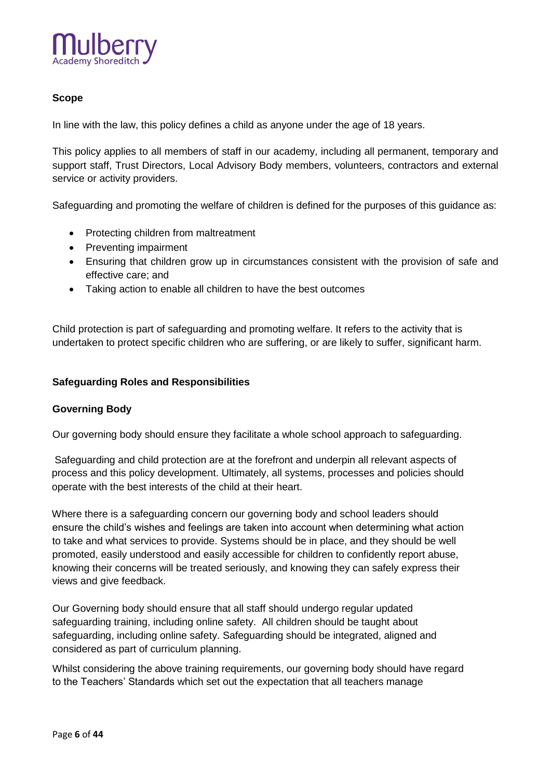

# **Scope**

In line with the law, this policy defines a child as anyone under the age of 18 years.

This policy applies to all members of staff in our academy, including all permanent, temporary and support staff, Trust Directors, Local Advisory Body members, volunteers, contractors and external service or activity providers.

Safeguarding and promoting the welfare of children is defined for the purposes of this guidance as:

- Protecting children from maltreatment
- Preventing impairment
- Ensuring that children grow up in circumstances consistent with the provision of safe and effective care; and
- Taking action to enable all children to have the best outcomes

Child protection is part of safeguarding and promoting welfare. It refers to the activity that is undertaken to protect specific children who are suffering, or are likely to suffer, significant harm.

#### **Safeguarding Roles and Responsibilities**

#### **Governing Body**

Our governing body should ensure they facilitate a whole school approach to safeguarding.

Safeguarding and child protection are at the forefront and underpin all relevant aspects of process and this policy development. Ultimately, all systems, processes and policies should operate with the best interests of the child at their heart.

Where there is a safeguarding concern our governing body and school leaders should ensure the child's wishes and feelings are taken into account when determining what action to take and what services to provide. Systems should be in place, and they should be well promoted, easily understood and easily accessible for children to confidently report abuse, knowing their concerns will be treated seriously, and knowing they can safely express their views and give feedback.

Our Governing body should ensure that all staff should undergo regular updated safeguarding training, including online safety. All children should be taught about safeguarding, including online safety. Safeguarding should be integrated, aligned and considered as part of curriculum planning.

Whilst considering the above training requirements, our governing body should have regard to the Teachers' Standards which set out the expectation that all teachers manage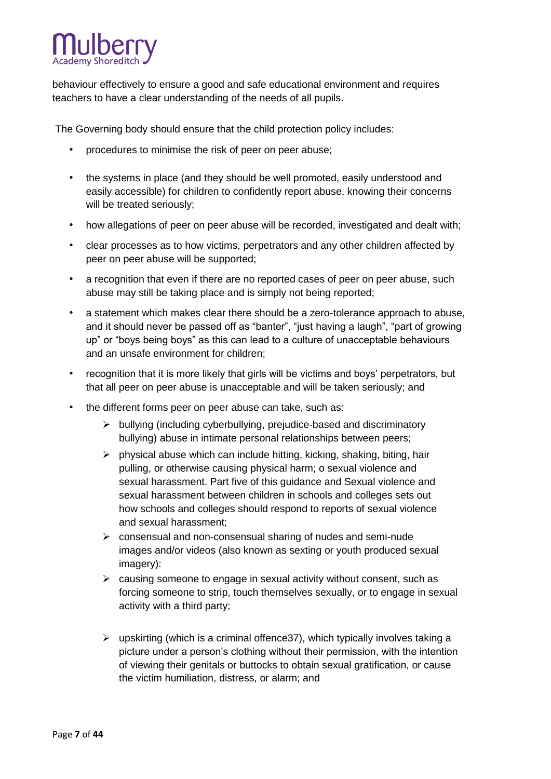

behaviour effectively to ensure a good and safe educational environment and requires teachers to have a clear understanding of the needs of all pupils.

The Governing body should ensure that the child protection policy includes:

- procedures to minimise the risk of peer on peer abuse;
- the systems in place (and they should be well promoted, easily understood and easily accessible) for children to confidently report abuse, knowing their concerns will be treated seriously;
- how allegations of peer on peer abuse will be recorded, investigated and dealt with;
- clear processes as to how victims, perpetrators and any other children affected by peer on peer abuse will be supported;
- a recognition that even if there are no reported cases of peer on peer abuse, such abuse may still be taking place and is simply not being reported;
- a statement which makes clear there should be a zero-tolerance approach to abuse, and it should never be passed off as "banter", "just having a laugh", "part of growing up" or "boys being boys" as this can lead to a culture of unacceptable behaviours and an unsafe environment for children;
- recognition that it is more likely that girls will be victims and boys' perpetrators, but that all peer on peer abuse is unacceptable and will be taken seriously; and
- the different forms peer on peer abuse can take, such as:
	- $\triangleright$  bullying (including cyberbullying, prejudice-based and discriminatory bullying) abuse in intimate personal relationships between peers;
	- $\triangleright$  physical abuse which can include hitting, kicking, shaking, biting, hair pulling, or otherwise causing physical harm; o sexual violence and sexual harassment. Part five of this guidance and [Sexual violence and](https://www.gov.uk/government/publications/sexual-violence-and-sexual-harassment-between-children-in-schools-and-colleges)  [sexual harassment between children in schools and colleges s](https://www.gov.uk/government/publications/sexual-violence-and-sexual-harassment-between-children-in-schools-and-colleges)ets out how schools and colleges should respond to reports of sexual violence and sexual harassment;
	- $\triangleright$  consensual and non-consensual sharing of nudes and semi-nude images and/or videos (also known as sexting or youth produced sexual imagery):
	- $\triangleright$  causing someone to engage in sexual activity without consent, such as forcing someone to strip, touch themselves sexually, or to engage in sexual activity with a third party;
	- $\triangleright$  upskirting (which is a criminal offence 37), which typically involves taking a picture under a person's clothing without their permission, with the intention of viewing their genitals or buttocks to obtain sexual gratification, or cause the victim humiliation, distress, or alarm; and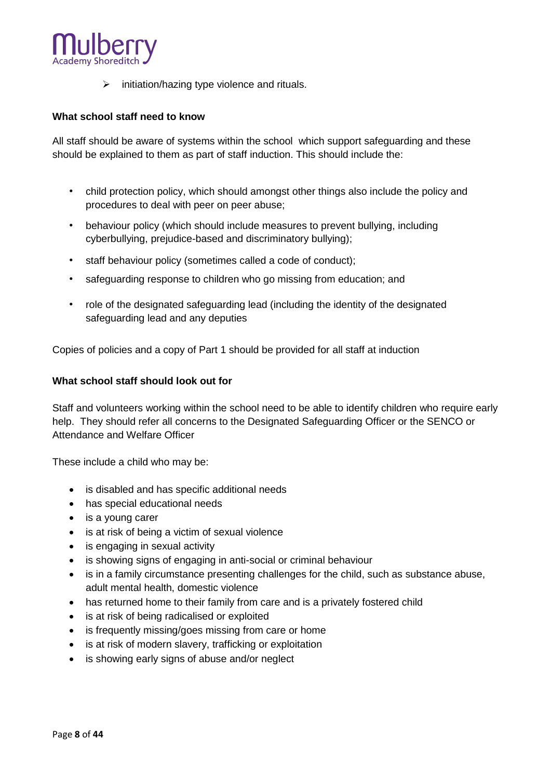

 $\triangleright$  initiation/hazing type violence and rituals.

## **What school staff need to know**

All staff should be aware of systems within the school which support safeguarding and these should be explained to them as part of staff induction. This should include the:

- child protection policy, which should amongst other things also include the policy and procedures to deal with peer on peer abuse;
- behaviour policy (which should include measures to prevent bullying, including cyberbullying, prejudice-based and discriminatory bullying);
- staff behaviour policy (sometimes called a code of conduct);
- safeguarding response to children who go missing from education; and
- role of the designated safeguarding lead (including the identity of the designated safeguarding lead and any deputies

Copies of policies and a copy of Part 1 should be provided for all staff at induction

#### **What school staff should look out for**

Staff and volunteers working within the school need to be able to identify children who require early help. They should refer all concerns to the Designated Safeguarding Officer or the SENCO or Attendance and Welfare Officer

These include a child who may be:

- is disabled and has specific additional needs
- has special educational needs
- is a young carer
- is at risk of being a victim of sexual violence
- is engaging in sexual activity
- is showing signs of engaging in anti-social or criminal behaviour
- is in a family circumstance presenting challenges for the child, such as substance abuse, adult mental health, domestic violence
- has returned home to their family from care and is a privately fostered child
- is at risk of being radicalised or exploited
- is frequently missing/goes missing from care or home
- is at risk of modern slavery, trafficking or exploitation
- is showing early signs of abuse and/or neglect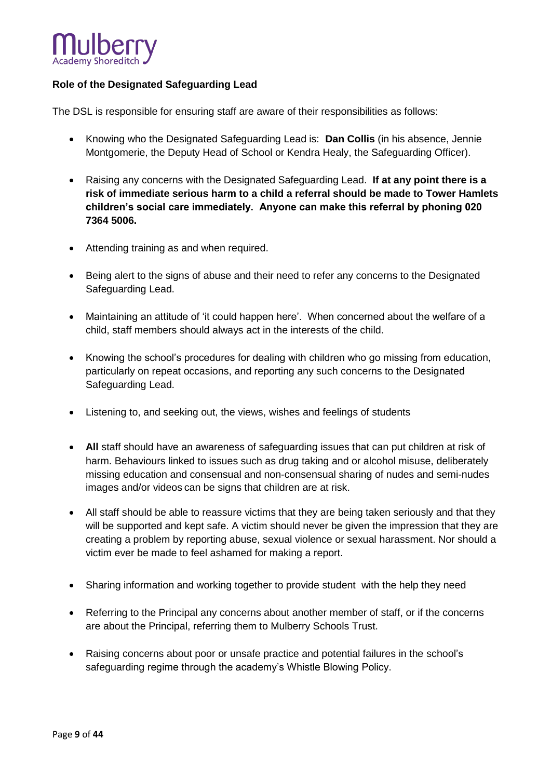

# **Role of the Designated Safeguarding Lead**

The DSL is responsible for ensuring staff are aware of their responsibilities as follows:

- Knowing who the Designated Safeguarding Lead is: **Dan Collis** (in his absence, Jennie Montgomerie, the Deputy Head of School or Kendra Healy, the Safeguarding Officer).
- Raising any concerns with the Designated Safeguarding Lead. **If at any point there is a risk of immediate serious harm to a child a referral should be made to Tower Hamlets children's social care immediately. Anyone can make this referral by phoning 020 7364 5006.**
- Attending training as and when required.
- Being alert to the signs of abuse and their need to refer any concerns to the Designated Safeguarding Lead.
- Maintaining an attitude of 'it could happen here'. When concerned about the welfare of a child, staff members should always act in the interests of the child.
- Knowing the school's procedures for dealing with children who go missing from education, particularly on repeat occasions, and reporting any such concerns to the Designated Safeguarding Lead.
- Listening to, and seeking out, the views, wishes and feelings of students
- **All** staff should have an awareness of safeguarding issues that can put children at risk of harm. Behaviours linked to issues such as drug taking and or alcohol misuse, deliberately missing education and consensual and non-consensual sharing of nudes and semi-nudes images and/or videos can be signs that children are at risk.
- All staff should be able to reassure victims that they are being taken seriously and that they will be supported and kept safe. A victim should never be given the impression that they are creating a problem by reporting abuse, sexual violence or sexual harassment. Nor should a victim ever be made to feel ashamed for making a report.
- Sharing information and working together to provide student with the help they need
- Referring to the Principal any concerns about another member of staff, or if the concerns are about the Principal, referring them to Mulberry Schools Trust.
- Raising concerns about poor or unsafe practice and potential failures in the school's safeguarding regime through the academy's Whistle Blowing Policy.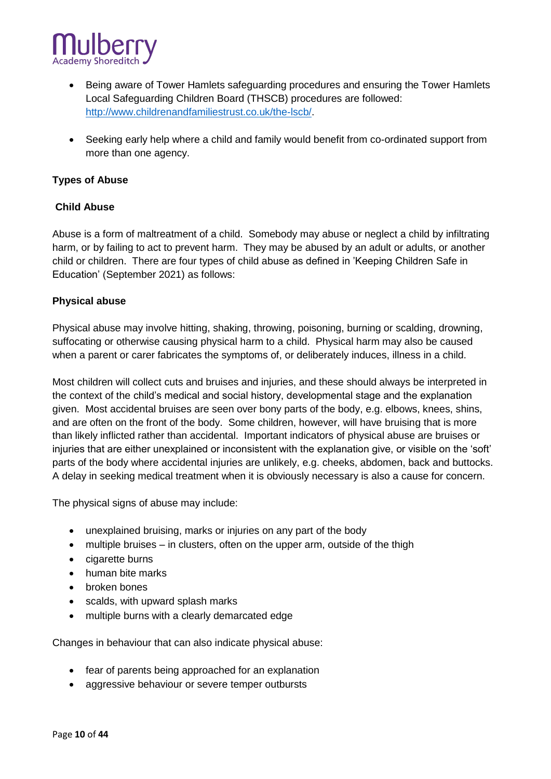

- Being aware of Tower Hamlets safeguarding procedures and ensuring the Tower Hamlets Local Safeguarding Children Board (THSCB) procedures are followed: [http://www.childrenandfamiliestrust.co.uk/the-lscb/.](http://www.childrenandfamiliestrust.co.uk/the-lscb/)
- Seeking early help where a child and family would benefit from co-ordinated support from more than one agency.

## **Types of Abuse**

# **Child Abuse**

Abuse is a form of maltreatment of a child. Somebody may abuse or neglect a child by infiltrating harm, or by failing to act to prevent harm. They may be abused by an adult or adults, or another child or children. There are four types of child abuse as defined in 'Keeping Children Safe in Education' (September 2021) as follows:

#### **Physical abuse**

Physical abuse may involve hitting, shaking, throwing, poisoning, burning or scalding, drowning, suffocating or otherwise causing physical harm to a child. Physical harm may also be caused when a parent or carer fabricates the symptoms of, or deliberately induces, illness in a child.

Most children will collect cuts and bruises and injuries, and these should always be interpreted in the context of the child's medical and social history, developmental stage and the explanation given. Most accidental bruises are seen over bony parts of the body, e.g. elbows, knees, shins, and are often on the front of the body. Some children, however, will have bruising that is more than likely inflicted rather than accidental. Important indicators of physical abuse are bruises or injuries that are either unexplained or inconsistent with the explanation give, or visible on the 'soft' parts of the body where accidental injuries are unlikely, e.g. cheeks, abdomen, back and buttocks. A delay in seeking medical treatment when it is obviously necessary is also a cause for concern.

The physical signs of abuse may include:

- unexplained bruising, marks or injuries on any part of the body
- multiple bruises in clusters, often on the upper arm, outside of the thigh
- cigarette burns
- human bite marks
- broken bones
- scalds, with upward splash marks
- multiple burns with a clearly demarcated edge

Changes in behaviour that can also indicate physical abuse:

- fear of parents being approached for an explanation
- aggressive behaviour or severe temper outbursts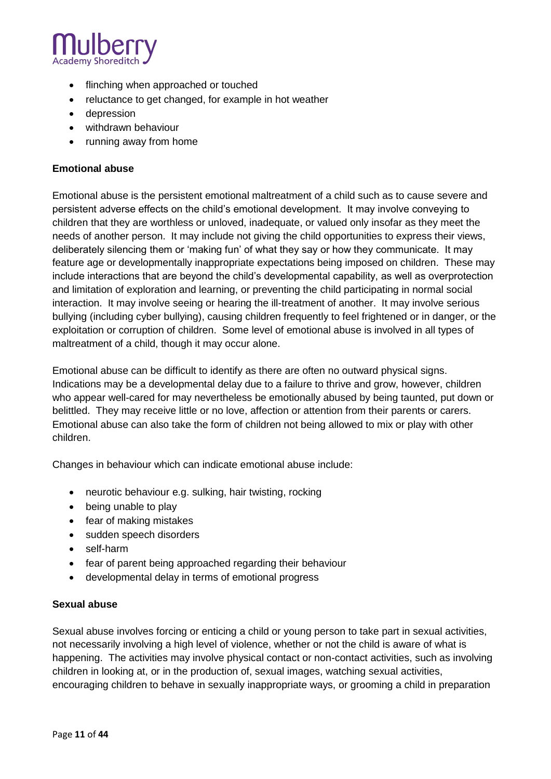

- flinching when approached or touched
- reluctance to get changed, for example in hot weather
- depression
- withdrawn behaviour
- running away from home

#### **Emotional abuse**

Emotional abuse is the persistent emotional maltreatment of a child such as to cause severe and persistent adverse effects on the child's emotional development. It may involve conveying to children that they are worthless or unloved, inadequate, or valued only insofar as they meet the needs of another person. It may include not giving the child opportunities to express their views, deliberately silencing them or 'making fun' of what they say or how they communicate. It may feature age or developmentally inappropriate expectations being imposed on children. These may include interactions that are beyond the child's developmental capability, as well as overprotection and limitation of exploration and learning, or preventing the child participating in normal social interaction. It may involve seeing or hearing the ill-treatment of another. It may involve serious bullying (including cyber bullying), causing children frequently to feel frightened or in danger, or the exploitation or corruption of children. Some level of emotional abuse is involved in all types of maltreatment of a child, though it may occur alone.

Emotional abuse can be difficult to identify as there are often no outward physical signs. Indications may be a developmental delay due to a failure to thrive and grow, however, children who appear well-cared for may nevertheless be emotionally abused by being taunted, put down or belittled. They may receive little or no love, affection or attention from their parents or carers. Emotional abuse can also take the form of children not being allowed to mix or play with other children.

Changes in behaviour which can indicate emotional abuse include:

- neurotic behaviour e.g. sulking, hair twisting, rocking
- being unable to play
- fear of making mistakes
- sudden speech disorders
- self-harm
- fear of parent being approached regarding their behaviour
- developmental delay in terms of emotional progress

#### **Sexual abuse**

Sexual abuse involves forcing or enticing a child or young person to take part in sexual activities, not necessarily involving a high level of violence, whether or not the child is aware of what is happening. The activities may involve physical contact or non-contact activities, such as involving children in looking at, or in the production of, sexual images, watching sexual activities, encouraging children to behave in sexually inappropriate ways, or grooming a child in preparation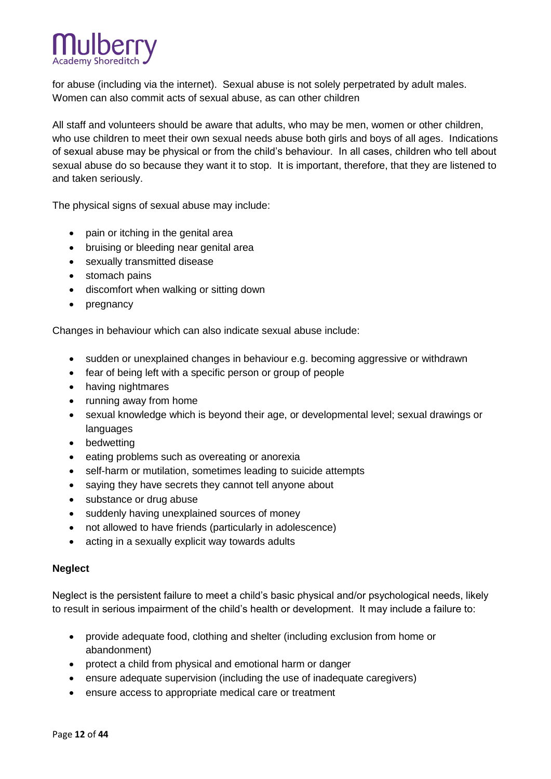

for abuse (including via the internet). Sexual abuse is not solely perpetrated by adult males. Women can also commit acts of sexual abuse, as can other children

All staff and volunteers should be aware that adults, who may be men, women or other children, who use children to meet their own sexual needs abuse both girls and boys of all ages. Indications of sexual abuse may be physical or from the child's behaviour. In all cases, children who tell about sexual abuse do so because they want it to stop. It is important, therefore, that they are listened to and taken seriously.

The physical signs of sexual abuse may include:

- pain or itching in the genital area
- bruising or bleeding near genital area
- sexually transmitted disease
- stomach pains
- discomfort when walking or sitting down
- pregnancy

Changes in behaviour which can also indicate sexual abuse include:

- sudden or unexplained changes in behaviour e.g. becoming aggressive or withdrawn
- fear of being left with a specific person or group of people
- having nightmares
- running away from home
- sexual knowledge which is beyond their age, or developmental level; sexual drawings or languages
- bedwetting
- eating problems such as overeating or anorexia
- self-harm or mutilation, sometimes leading to suicide attempts
- saying they have secrets they cannot tell anyone about
- substance or drug abuse
- suddenly having unexplained sources of money
- not allowed to have friends (particularly in adolescence)
- acting in a sexually explicit way towards adults

#### **Neglect**

Neglect is the persistent failure to meet a child's basic physical and/or psychological needs, likely to result in serious impairment of the child's health or development. It may include a failure to:

- provide adequate food, clothing and shelter (including exclusion from home or abandonment)
- protect a child from physical and emotional harm or danger
- ensure adequate supervision (including the use of inadequate caregivers)
- ensure access to appropriate medical care or treatment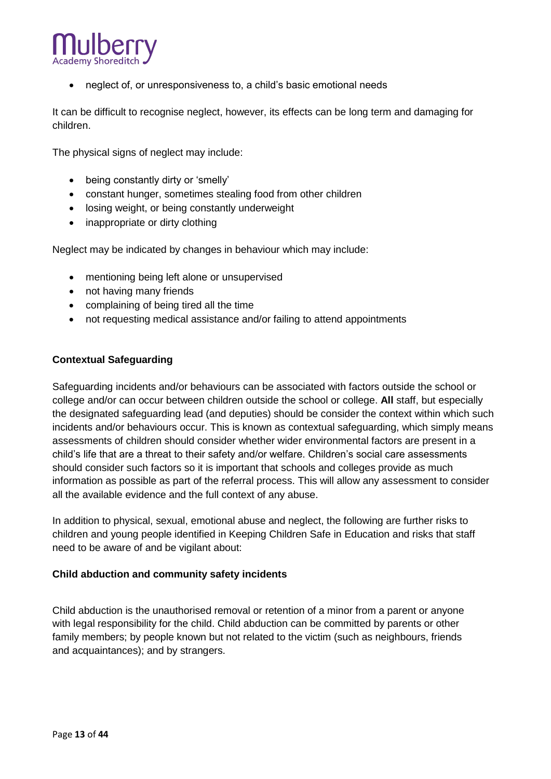

neglect of, or unresponsiveness to, a child's basic emotional needs

It can be difficult to recognise neglect, however, its effects can be long term and damaging for children.

The physical signs of neglect may include:

- being constantly dirty or 'smelly'
- constant hunger, sometimes stealing food from other children
- losing weight, or being constantly underweight
- inappropriate or dirty clothing

Neglect may be indicated by changes in behaviour which may include:

- mentioning being left alone or unsupervised
- not having many friends
- complaining of being tired all the time
- not requesting medical assistance and/or failing to attend appointments

#### **Contextual Safeguarding**

Safeguarding incidents and/or behaviours can be associated with factors outside the school or college and/or can occur between children outside the school or college. **All** staff, but especially the designated safeguarding lead (and deputies) should be consider the context within which such incidents and/or behaviours occur. This is known as contextual safeguarding, which simply means assessments of children should consider whether wider environmental factors are present in a child's life that are a threat to their safety and/or welfare. Children's social care assessments should consider such factors so it is important that schools and colleges provide as much information as possible as part of the referral process. This will allow any assessment to consider all the available evidence and the full context of any abuse.

In addition to physical, sexual, emotional abuse and neglect, the following are further risks to children and young people identified in Keeping Children Safe in Education and risks that staff need to be aware of and be vigilant about:

#### **Child abduction and community safety incidents**

Child abduction is the unauthorised removal or retention of a minor from a parent or anyone with legal responsibility for the child. Child abduction can be committed by parents or other family members; by people known but not related to the victim (such as neighbours, friends and acquaintances); and by strangers.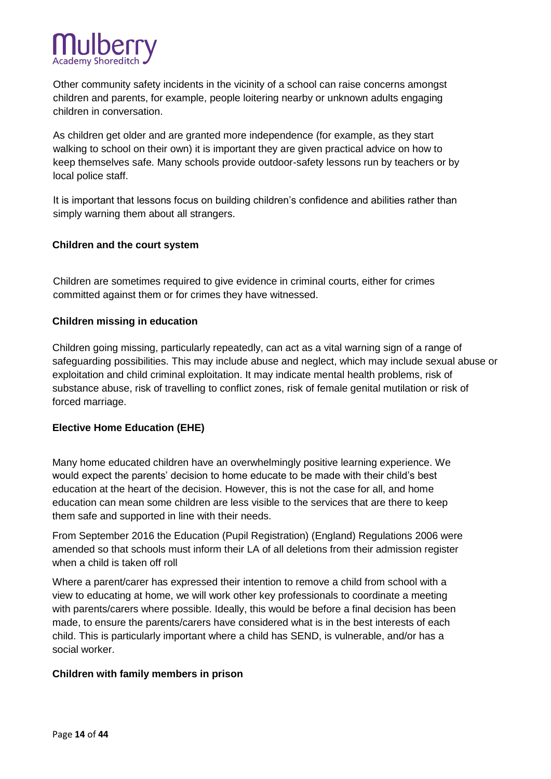

Other community safety incidents in the vicinity of a school can raise concerns amongst children and parents, for example, people loitering nearby or unknown adults engaging children in conversation.

As children get older and are granted more independence (for example, as they start walking to school on their own) it is important they are given practical advice on how to keep themselves safe. Many schools provide outdoor-safety lessons run by teachers or by local police staff.

It is important that lessons focus on building children's confidence and abilities rather than simply warning them about all strangers.

#### **Children and the court system**

Children are sometimes required to give evidence in criminal courts, either for crimes committed against them or for crimes they have witnessed.

#### **Children missing in education**

Children going missing, particularly repeatedly, can act as a vital warning sign of a range of safeguarding possibilities. This may include abuse and neglect, which may include sexual abuse or exploitation and child criminal exploitation. It may indicate mental health problems, risk of substance abuse, risk of travelling to conflict zones, risk of female genital mutilation or risk of forced marriage.

#### **Elective Home Education (EHE)**

Many home educated children have an overwhelmingly positive learning experience. We would expect the parents' decision to home educate to be made with their child's best education at the heart of the decision. However, this is not the case for all, and home education can mean some children are less visible to the services that are there to keep them safe and supported in line with their needs.

From September 2016 the Education (Pupil [Registration\) \(England\) Regulations 2006 were](https://www.legislation.gov.uk/uksi/2016/792/note/made)  [amended s](https://www.legislation.gov.uk/uksi/2016/792/note/made)o that schools must inform their LA of all deletions from their admission register when a child is taken off roll

Where a parent/carer has expressed their intention to remove a child from school with a view to educating at home, we will work other key professionals to coordinate a meeting with parents/carers where possible. Ideally, this would be before a final decision has been made, to ensure the parents/carers have considered what is in the best interests of each child. This is particularly important where a child has SEND, is vulnerable, and/or has a social worker.

#### **Children with family members in prison**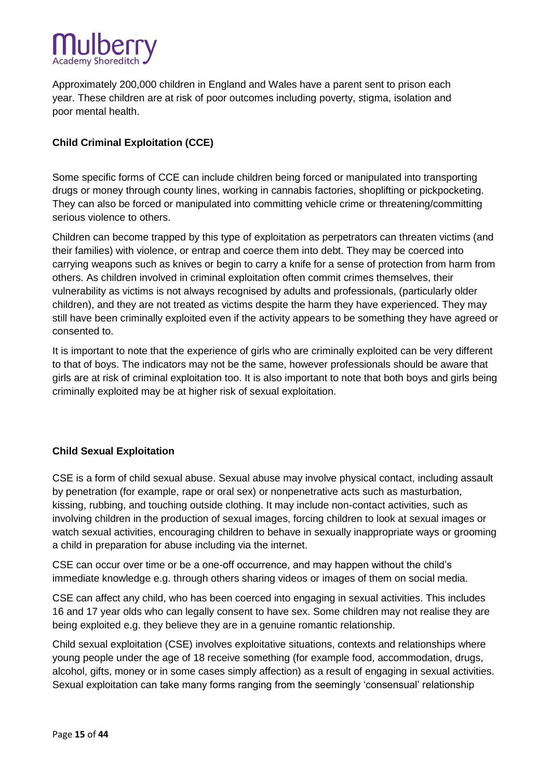

Approximately 200,000 children in England and Wales have a parent sent to prison each year. These children are at risk of poor outcomes including poverty, stigma, isolation and poor mental health.

# **Child Criminal Exploitation (CCE)**

Some specific forms of CCE can include children being forced or manipulated into transporting drugs or money through county lines, working in cannabis factories, shoplifting or pickpocketing. They can also be forced or manipulated into committing vehicle crime or threatening/committing serious violence to others.

Children can become trapped by this type of exploitation as perpetrators can threaten victims (and their families) with violence, or entrap and coerce them into debt. They may be coerced into carrying weapons such as knives or begin to carry a knife for a sense of protection from harm from others. As children involved in criminal exploitation often commit crimes themselves, their vulnerability as victims is not always recognised by adults and professionals, (particularly older children), and they are not treated as victims despite the harm they have experienced. They may still have been criminally exploited even if the activity appears to be something they have agreed or consented to.

It is important to note that the experience of girls who are criminally exploited can be very different to that of boys. The indicators may not be the same, however professionals should be aware that girls are at risk of criminal exploitation too. It is also important to note that both boys and girls being criminally exploited may be at higher risk of sexual exploitation.

# **Child Sexual Exploitation**

CSE is a form of child sexual abuse. Sexual abuse may involve physical contact, including assault by penetration (for example, rape or oral sex) or nonpenetrative acts such as masturbation, kissing, rubbing, and touching outside clothing. It may include non-contact activities, such as involving children in the production of sexual images, forcing children to look at sexual images or watch sexual activities, encouraging children to behave in sexually inappropriate ways or grooming a child in preparation for abuse including via the internet.

CSE can occur over time or be a one-off occurrence, and may happen without the child's immediate knowledge e.g. through others sharing videos or images of them on social media.

CSE can affect any child, who has been coerced into engaging in sexual activities. This includes 16 and 17 year olds who can legally consent to have sex. Some children may not realise they are being exploited e.g. they believe they are in a genuine romantic relationship.

Child sexual exploitation (CSE) involves exploitative situations, contexts and relationships where young people under the age of 18 receive something (for example food, accommodation, drugs, alcohol, gifts, money or in some cases simply affection) as a result of engaging in sexual activities. Sexual exploitation can take many forms ranging from the seemingly 'consensual' relationship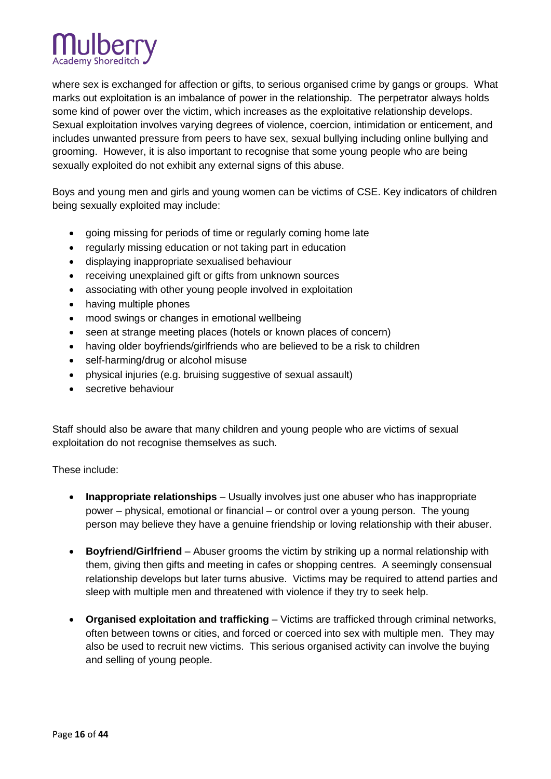

where sex is exchanged for affection or gifts, to serious organised crime by gangs or groups. What marks out exploitation is an imbalance of power in the relationship. The perpetrator always holds some kind of power over the victim, which increases as the exploitative relationship develops. Sexual exploitation involves varying degrees of violence, coercion, intimidation or enticement, and includes unwanted pressure from peers to have sex, sexual bullying including online bullying and grooming. However, it is also important to recognise that some young people who are being sexually exploited do not exhibit any external signs of this abuse.

Boys and young men and girls and young women can be victims of CSE. Key indicators of children being sexually exploited may include:

- going missing for periods of time or regularly coming home late
- regularly missing education or not taking part in education
- displaying inappropriate sexualised behaviour
- receiving unexplained gift or gifts from unknown sources
- associating with other young people involved in exploitation
- having multiple phones
- mood swings or changes in emotional wellbeing
- seen at strange meeting places (hotels or known places of concern)
- having older boyfriends/girlfriends who are believed to be a risk to children
- self-harming/drug or alcohol misuse
- physical injuries (e.g. bruising suggestive of sexual assault)
- secretive behaviour

Staff should also be aware that many children and young people who are victims of sexual exploitation do not recognise themselves as such.

These include:

- **Inappropriate relationships** Usually involves just one abuser who has inappropriate power – physical, emotional or financial – or control over a young person. The young person may believe they have a genuine friendship or loving relationship with their abuser.
- **Boyfriend/Girlfriend** Abuser grooms the victim by striking up a normal relationship with them, giving then gifts and meeting in cafes or shopping centres. A seemingly consensual relationship develops but later turns abusive. Victims may be required to attend parties and sleep with multiple men and threatened with violence if they try to seek help.
- **Organised exploitation and trafficking** Victims are trafficked through criminal networks, often between towns or cities, and forced or coerced into sex with multiple men. They may also be used to recruit new victims. This serious organised activity can involve the buying and selling of young people.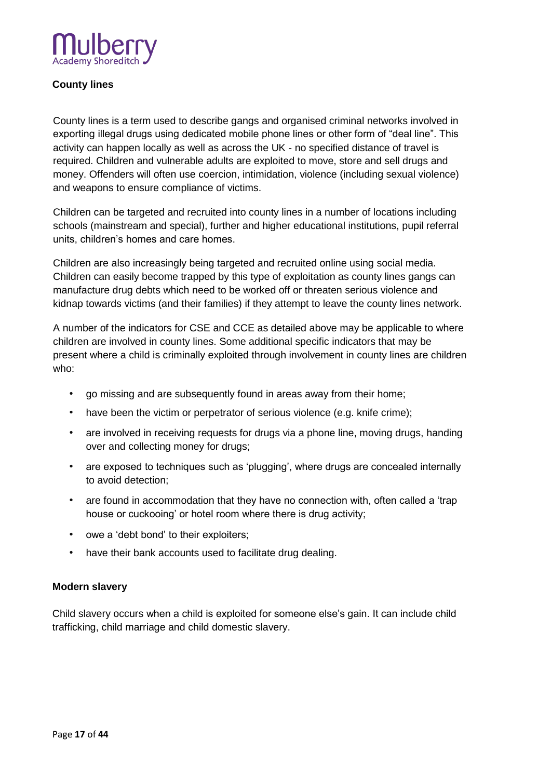

# **County lines**

County lines is a term used to describe gangs and organised criminal networks involved in exporting illegal drugs using dedicated mobile phone lines or other form of "deal line". This activity can happen locally as well as across the UK - no specified distance of travel is required. Children and vulnerable adults are exploited to move, store and sell drugs and money. Offenders will often use coercion, intimidation, violence (including sexual violence) and weapons to ensure compliance of victims.

Children can be targeted and recruited into county lines in a number of locations including schools (mainstream and special), further and higher educational institutions, pupil referral units, children's homes and care homes.

Children are also increasingly being targeted and recruited online using social media. Children can easily become trapped by this type of exploitation as county lines gangs can manufacture drug debts which need to be worked off or threaten serious violence and kidnap towards victims (and their families) if they attempt to leave the county lines network.

A number of the indicators for CSE and CCE as detailed above may be applicable to where children are involved in county lines. Some additional specific indicators that may be present where a child is criminally exploited through involvement in county lines are children who:

- go missing and are subsequently found in areas away from their home;
- have been the victim or perpetrator of serious violence (e.g. knife crime);
- are involved in receiving requests for drugs via a phone line, moving drugs, handing over and collecting money for drugs;
- are exposed to techniques such as 'plugging', where drugs are concealed internally to avoid detection;
- are found in accommodation that they have no connection with, often called a 'trap house or cuckooing' or hotel room where there is drug activity;
- owe a 'debt bond' to their exploiters;
- have their bank accounts used to facilitate drug dealing.

#### **Modern slavery**

Child slavery occurs when a child is exploited for someone else's gain. It can include child trafficking, child marriage and child domestic slavery.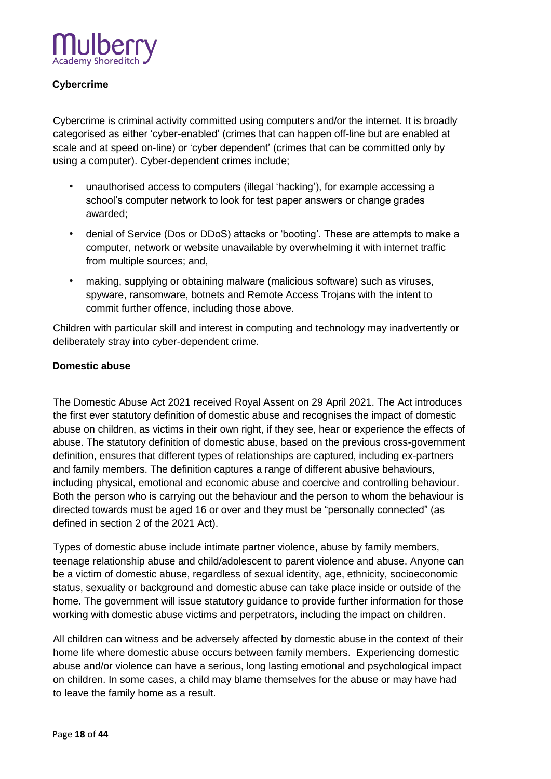

# **Cybercrime**

Cybercrime is criminal activity committed using computers and/or the internet. It is broadly categorised as either 'cyber-enabled' (crimes that can happen off-line but are enabled at scale and at speed on-line) or 'cyber dependent' (crimes that can be committed only by using a computer). Cyber-dependent crimes include;

- unauthorised access to computers (illegal 'hacking'), for example accessing a school's computer network to look for test paper answers or change grades awarded;
- denial of Service (Dos or DDoS) attacks or 'booting'. These are attempts to make a computer, network or website unavailable by overwhelming it with internet traffic from multiple sources; and,
- making, supplying or obtaining malware (malicious software) such as viruses, spyware, ransomware, botnets and Remote Access Trojans with the intent to commit further offence, including those above.

Children with particular skill and interest in computing and technology may inadvertently or deliberately stray into cyber-dependent crime.

#### **Domestic abuse**

The Domestic Abuse Act 2021 received Royal Assent on 29 April 2021. The Act introduces the first ever statutory definition of domestic abuse and recognises the impact of domestic abuse on children, as victims in their own right, if they see, hear or experience the effects of abuse. The statutory definition of domestic abuse, based on the previous cross-government definition, ensures that different types of relationships are captured, including ex-partners and family members. The definition captures a range of different abusive behaviours, including physical, emotional and economic abuse and coercive and controlling behaviour. Both the person who is carrying out the behaviour and the person to whom the behaviour is directed towards must be aged 16 or over and they must be "personally connected" (as defined in section 2 of the 2021 Act).

Types of domestic abuse include intimate partner violence, abuse by family members, teenage relationship abuse and child/adolescent to parent violence and abuse. Anyone can be a victim of domestic abuse, regardless of sexual identity, age, ethnicity, socioeconomic status, sexuality or background and domestic abuse can take place inside or outside of the home. The government will issue statutory guidance to provide further information for those working with domestic abuse victims and perpetrators, including the impact on children.

All children can witness and be adversely affected by domestic abuse in the context of their home life where domestic abuse occurs between family members. Experiencing domestic abuse and/or violence can have a serious, long lasting emotional and psychological impact on children. In some cases, a child may blame themselves for the abuse or may have had to leave the family home as a result.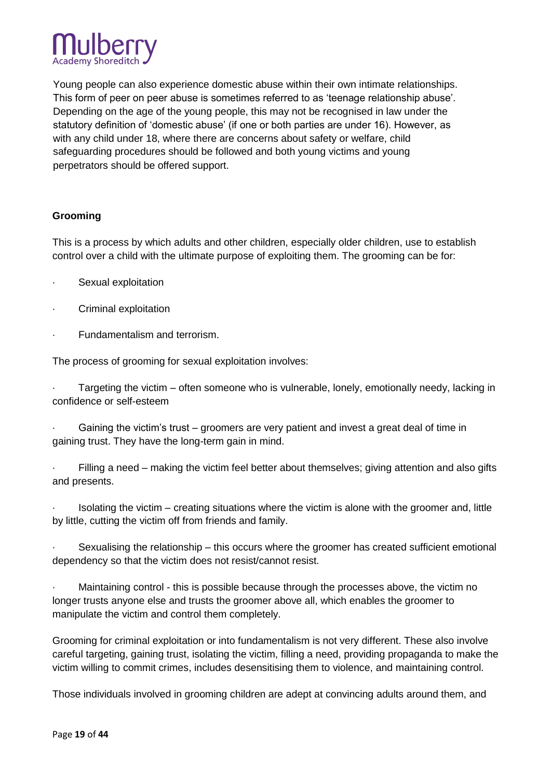

Young people can also experience domestic abuse within their own intimate relationships. This form of peer on peer abuse is sometimes referred to as 'teenage relationship abuse'. Depending on the age of the young people, this may not be recognised in law under the statutory definition of 'domestic abuse' (if one or both parties are under 16). However, as with any child under 18, where there are concerns about safety or welfare, child safeguarding procedures should be followed and both young victims and young perpetrators should be offered support.

# **Grooming**

This is a process by which adults and other children, especially older children, use to establish control over a child with the ultimate purpose of exploiting them. The grooming can be for:

- · Sexual exploitation
- · Criminal exploitation
- · Fundamentalism and terrorism.

The process of grooming for sexual exploitation involves:

Targeting the victim – often someone who is vulnerable, lonely, emotionally needy, lacking in confidence or self-esteem

Gaining the victim's trust – groomers are very patient and invest a great deal of time in gaining trust. They have the long-term gain in mind.

Filling a need – making the victim feel better about themselves; giving attention and also gifts and presents.

Isolating the victim – creating situations where the victim is alone with the groomer and, little by little, cutting the victim off from friends and family.

· Sexualising the relationship – this occurs where the groomer has created sufficient emotional dependency so that the victim does not resist/cannot resist.

· Maintaining control - this is possible because through the processes above, the victim no longer trusts anyone else and trusts the groomer above all, which enables the groomer to manipulate the victim and control them completely.

Grooming for criminal exploitation or into fundamentalism is not very different. These also involve careful targeting, gaining trust, isolating the victim, filling a need, providing propaganda to make the victim willing to commit crimes, includes desensitising them to violence, and maintaining control.

Those individuals involved in grooming children are adept at convincing adults around them, and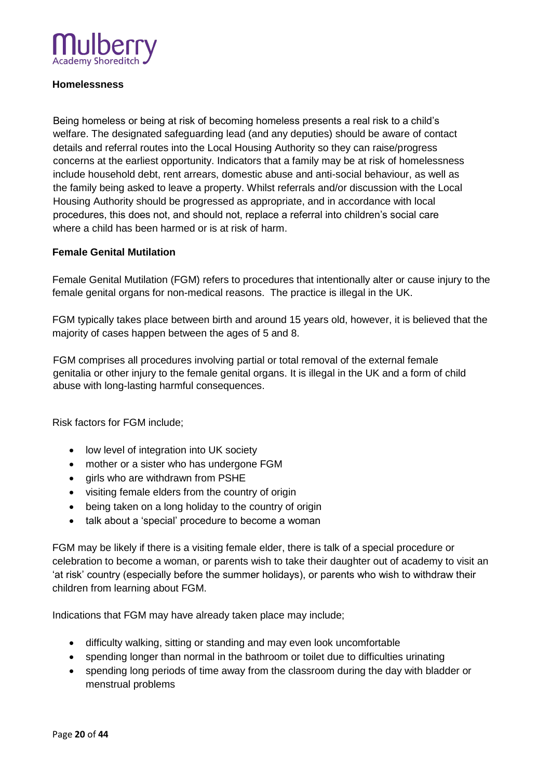

#### **Homelessness**

Being homeless or being at risk of becoming homeless presents a real risk to a child's welfare. The designated safeguarding lead (and any deputies) should be aware of contact details and referral routes into the Local Housing Authority so they can raise/progress concerns at the earliest opportunity. Indicators that a family may be at risk of homelessness include household debt, rent arrears, domestic abuse and anti-social behaviour, as well as the family being asked to leave a property. Whilst referrals and/or discussion with the Local Housing Authority should be progressed as appropriate, and in accordance with local procedures, this does not, and should not, replace a referral into children's social care where a child has been harmed or is at risk of harm.

#### **Female Genital Mutilation**

Female Genital Mutilation (FGM) refers to procedures that intentionally alter or cause injury to the female genital organs for non-medical reasons. The practice is illegal in the UK.

FGM typically takes place between birth and around 15 years old, however, it is believed that the majority of cases happen between the ages of 5 and 8.

FGM comprises all procedures involving partial or total removal of the external female genitalia or other injury to the female genital organs. It is illegal in the UK and a form of child abuse with long-lasting harmful consequences.

Risk factors for FGM include;

- low level of integration into UK society
- mother or a sister who has undergone FGM
- girls who are withdrawn from PSHE
- visiting female elders from the country of origin
- being taken on a long holiday to the country of origin
- talk about a 'special' procedure to become a woman

FGM may be likely if there is a visiting female elder, there is talk of a special procedure or celebration to become a woman, or parents wish to take their daughter out of academy to visit an 'at risk' country (especially before the summer holidays), or parents who wish to withdraw their children from learning about FGM.

Indications that FGM may have already taken place may include;

- difficulty walking, sitting or standing and may even look uncomfortable
- spending longer than normal in the bathroom or toilet due to difficulties urinating
- spending long periods of time away from the classroom during the day with bladder or menstrual problems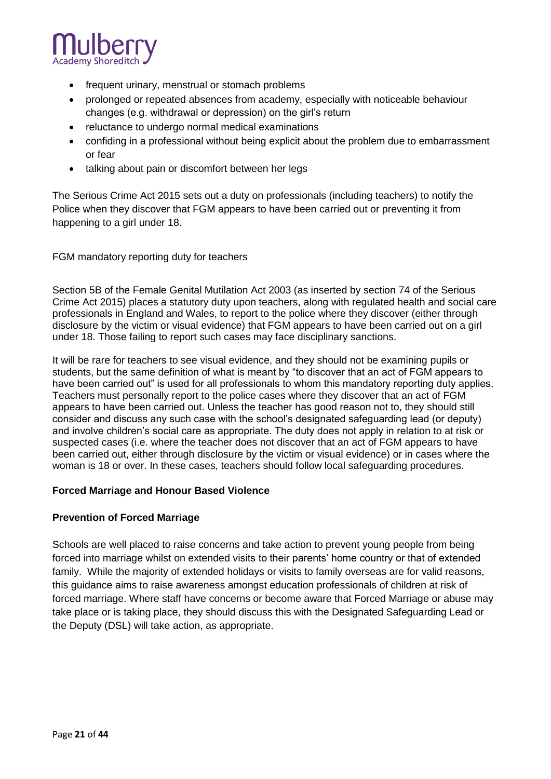

- frequent urinary, menstrual or stomach problems
- prolonged or repeated absences from academy, especially with noticeable behaviour changes (e.g. withdrawal or depression) on the girl's return
- reluctance to undergo normal medical examinations
- confiding in a professional without being explicit about the problem due to embarrassment or fear
- talking about pain or discomfort between her legs

The Serious Crime Act 2015 sets out a duty on professionals (including teachers) to notify the Police when they discover that FGM appears to have been carried out or preventing it from happening to a girl under 18.

FGM mandatory reporting duty for teachers

Section 5B of the Female Genital Mutilation Act 2003 (as inserted by section 74 of the Serious Crime Act 2015) places a statutory duty upon teachers, along with regulated health and social care professionals in England and Wales, to report to the police where they discover (either through disclosure by the victim or visual evidence) that FGM appears to have been carried out on a girl under 18. Those failing to report such cases may face disciplinary sanctions.

It will be rare for teachers to see visual evidence, and they should not be examining pupils or students, but the same definition of what is meant by "to discover that an act of FGM appears to have been carried out" is used for all professionals to whom this mandatory reporting duty applies. Teachers must personally report to the police cases where they discover that an act of FGM appears to have been carried out. Unless the teacher has good reason not to, they should still consider and discuss any such case with the school's designated safeguarding lead (or deputy) and involve children's social care as appropriate. The duty does not apply in relation to at risk or suspected cases (i.e. where the teacher does not discover that an act of FGM appears to have been carried out, either through disclosure by the victim or visual evidence) or in cases where the woman is 18 or over. In these cases, teachers should follow local safeguarding procedures.

#### **Forced Marriage and Honour Based Violence**

#### **Prevention of Forced Marriage**

Schools are well placed to raise concerns and take action to prevent young people from being forced into marriage whilst on extended visits to their parents' home country or that of extended family. While the majority of extended holidays or visits to family overseas are for valid reasons, this guidance aims to raise awareness amongst education professionals of children at risk of forced marriage. Where staff have concerns or become aware that Forced Marriage or abuse may take place or is taking place, they should discuss this with the Designated Safeguarding Lead or the Deputy (DSL) will take action, as appropriate.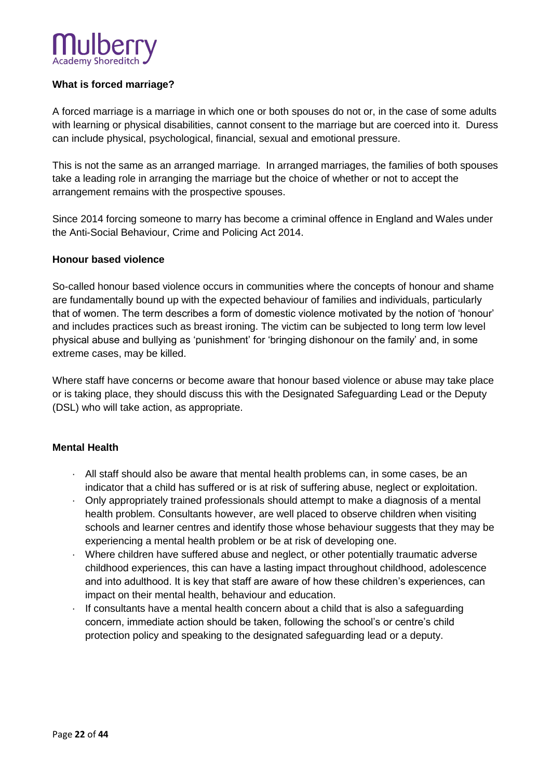# **What is forced marriage?**

A forced marriage is a marriage in which one or both spouses do not or, in the case of some adults with learning or physical disabilities, cannot consent to the marriage but are coerced into it. Duress can include physical, psychological, financial, sexual and emotional pressure.

This is not the same as an arranged marriage. In arranged marriages, the families of both spouses take a leading role in arranging the marriage but the choice of whether or not to accept the arrangement remains with the prospective spouses.

Since 2014 forcing someone to marry has become a criminal offence in England and Wales under the Anti-Social Behaviour, Crime and Policing Act 2014.

#### **Honour based violence**

So-called honour based violence occurs in communities where the concepts of honour and shame are fundamentally bound up with the expected behaviour of families and individuals, particularly that of women. The term describes a form of domestic violence motivated by the notion of 'honour' and includes practices such as breast ironing. The victim can be subjected to long term low level physical abuse and bullying as 'punishment' for 'bringing dishonour on the family' and, in some extreme cases, may be killed.

Where staff have concerns or become aware that honour based violence or abuse may take place or is taking place, they should discuss this with the Designated Safeguarding Lead or the Deputy (DSL) who will take action, as appropriate.

#### **Mental Health**

- · All staff should also be aware that mental health problems can, in some cases, be an indicator that a child has suffered or is at risk of suffering abuse, neglect or exploitation.
- · Only appropriately trained professionals should attempt to make a diagnosis of a mental health problem. Consultants however, are well placed to observe children when visiting schools and learner centres and identify those whose behaviour suggests that they may be experiencing a mental health problem or be at risk of developing one.
- · Where children have suffered abuse and neglect, or other potentially traumatic adverse childhood experiences, this can have a lasting impact throughout childhood, adolescence and into adulthood. It is key that staff are aware of how these children's experiences, can impact on their mental health, behaviour and education.
- · If consultants have a mental health concern about a child that is also a safeguarding concern, immediate action should be taken, following the school's or centre's child protection policy and speaking to the designated safeguarding lead or a deputy.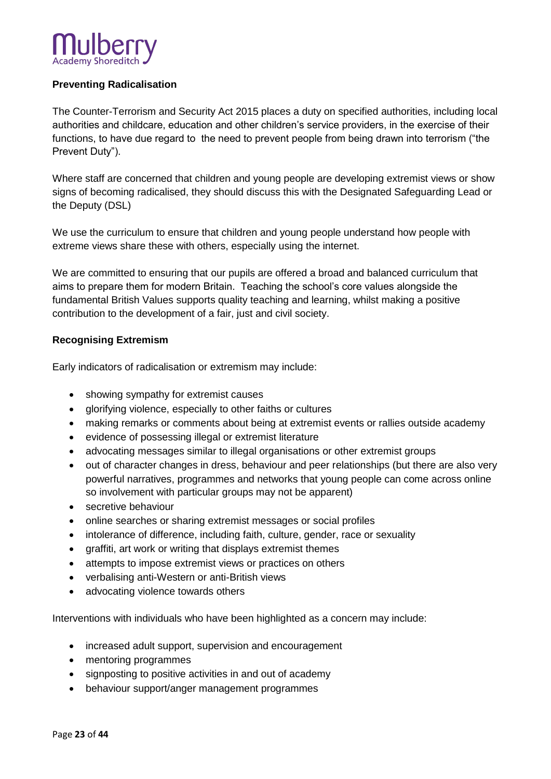# **Preventing Radicalisation**

The Counter-Terrorism and Security Act 2015 places a duty on specified authorities, including local authorities and childcare, education and other children's service providers, in the exercise of their functions, to have due regard to the need to prevent people from being drawn into terrorism ("the Prevent Duty").

Where staff are concerned that children and young people are developing extremist views or show signs of becoming radicalised, they should discuss this with the Designated Safeguarding Lead or the Deputy (DSL)

We use the curriculum to ensure that children and young people understand how people with extreme views share these with others, especially using the internet.

We are committed to ensuring that our pupils are offered a broad and balanced curriculum that aims to prepare them for modern Britain. Teaching the school's core values alongside the fundamental British Values supports quality teaching and learning, whilst making a positive contribution to the development of a fair, just and civil society.

#### **Recognising Extremism**

Early indicators of radicalisation or extremism may include:

- showing sympathy for extremist causes
- glorifying violence, especially to other faiths or cultures
- making remarks or comments about being at extremist events or rallies outside academy
- evidence of possessing illegal or extremist literature
- advocating messages similar to illegal organisations or other extremist groups
- out of character changes in dress, behaviour and peer relationships (but there are also very powerful narratives, programmes and networks that young people can come across online so involvement with particular groups may not be apparent)
- secretive behaviour
- online searches or sharing extremist messages or social profiles
- intolerance of difference, including faith, culture, gender, race or sexuality
- graffiti, art work or writing that displays extremist themes
- attempts to impose extremist views or practices on others
- verbalising anti-Western or anti-British views
- advocating violence towards others

Interventions with individuals who have been highlighted as a concern may include:

- increased adult support, supervision and encouragement
- mentoring programmes
- signposting to positive activities in and out of academy
- behaviour support/anger management programmes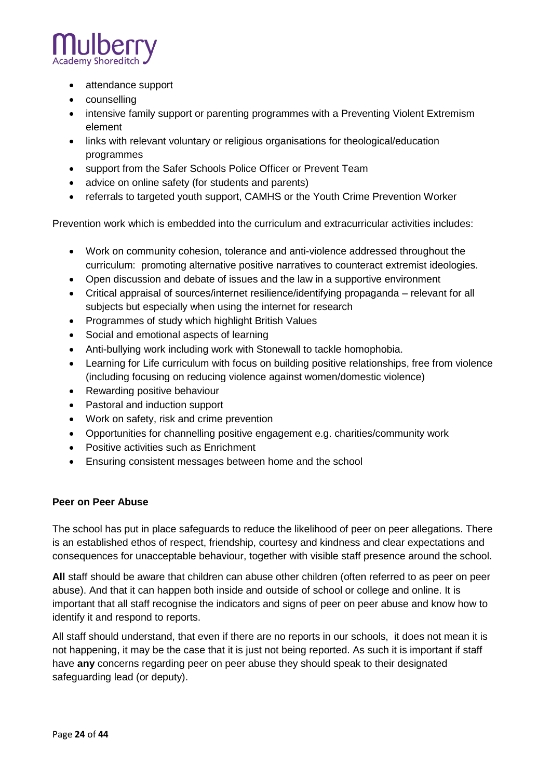

- attendance support
- counselling
- intensive family support or parenting programmes with a Preventing Violent Extremism element
- links with relevant voluntary or religious organisations for theological/education programmes
- support from the Safer Schools Police Officer or Prevent Team
- advice on online safety (for students and parents)
- referrals to targeted youth support, CAMHS or the Youth Crime Prevention Worker

Prevention work which is embedded into the curriculum and extracurricular activities includes:

- Work on community cohesion, tolerance and anti-violence addressed throughout the curriculum: promoting alternative positive narratives to counteract extremist ideologies.
- Open discussion and debate of issues and the law in a supportive environment
- Critical appraisal of sources/internet resilience/identifying propaganda relevant for all subjects but especially when using the internet for research
- Programmes of study which highlight British Values
- Social and emotional aspects of learning
- Anti-bullying work including work with Stonewall to tackle homophobia.
- Learning for Life curriculum with focus on building positive relationships, free from violence (including focusing on reducing violence against women/domestic violence)
- Rewarding positive behaviour
- Pastoral and induction support
- Work on safety, risk and crime prevention
- Opportunities for channelling positive engagement e.g. charities/community work
- Positive activities such as Enrichment
- Ensuring consistent messages between home and the school

#### **Peer on Peer Abuse**

The school has put in place safeguards to reduce the likelihood of peer on peer allegations. There is an established ethos of respect, friendship, courtesy and kindness and clear expectations and consequences for unacceptable behaviour, together with visible staff presence around the school.

**All** staff should be aware that children can abuse other children (often referred to as peer on peer abuse). And that it can happen both inside and outside of school or college and online. It is important that all staff recognise the indicators and signs of peer on peer abuse and know how to identify it and respond to reports.

All staff should understand, that even if there are no reports in our schools, it does not mean it is not happening, it may be the case that it is just not being reported. As such it is important if staff have **any** concerns regarding peer on peer abuse they should speak to their designated safeguarding lead (or deputy).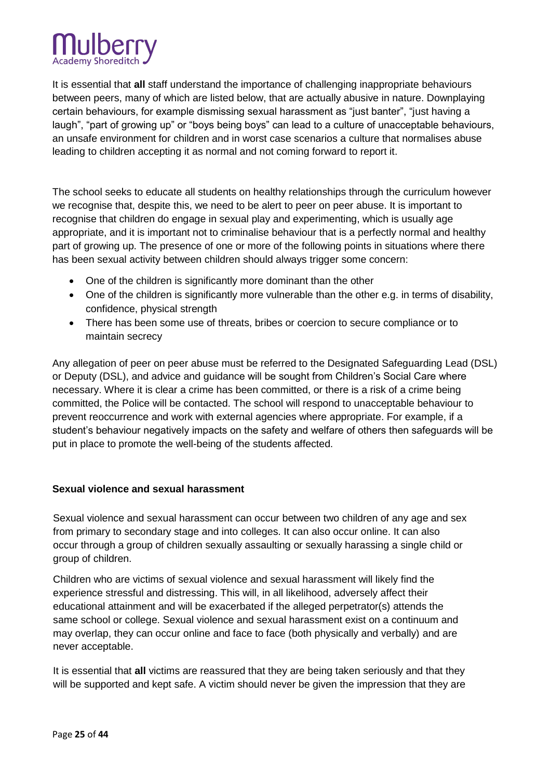

It is essential that **all** staff understand the importance of challenging inappropriate behaviours between peers, many of which are listed below, that are actually abusive in nature. Downplaying certain behaviours, for example dismissing sexual harassment as "just banter", "just having a laugh", "part of growing up" or "boys being boys" can lead to a culture of unacceptable behaviours, an unsafe environment for children and in worst case scenarios a culture that normalises abuse leading to children accepting it as normal and not coming forward to report it.

The school seeks to educate all students on healthy relationships through the curriculum however we recognise that, despite this, we need to be alert to peer on peer abuse. It is important to recognise that children do engage in sexual play and experimenting, which is usually age appropriate, and it is important not to criminalise behaviour that is a perfectly normal and healthy part of growing up. The presence of one or more of the following points in situations where there has been sexual activity between children should always trigger some concern:

- One of the children is significantly more dominant than the other
- One of the children is significantly more vulnerable than the other e.g. in terms of disability, confidence, physical strength
- There has been some use of threats, bribes or coercion to secure compliance or to maintain secrecy

Any allegation of peer on peer abuse must be referred to the Designated Safeguarding Lead (DSL) or Deputy (DSL), and advice and guidance will be sought from Children's Social Care where necessary. Where it is clear a crime has been committed, or there is a risk of a crime being committed, the Police will be contacted. The school will respond to unacceptable behaviour to prevent reoccurrence and work with external agencies where appropriate. For example, if a student's behaviour negatively impacts on the safety and welfare of others then safeguards will be put in place to promote the well-being of the students affected.

#### **Sexual violence and sexual harassment**

Sexual violence and sexual harassment can occur between two children of any age and sex from primary to secondary stage and into colleges. It can also occur online. It can also occur through a group of children sexually assaulting or sexually harassing a single child or group of children.

Children who are victims of sexual violence and sexual harassment will likely find the experience stressful and distressing. This will, in all likelihood, adversely affect their educational attainment and will be exacerbated if the alleged perpetrator(s) attends the same school or college. Sexual violence and sexual harassment exist on a continuum and may overlap, they can occur online and face to face (both physically and verbally) and are never acceptable.

It is essential that **all** victims are reassured that they are being taken seriously and that they will be supported and kept safe. A victim should never be given the impression that they are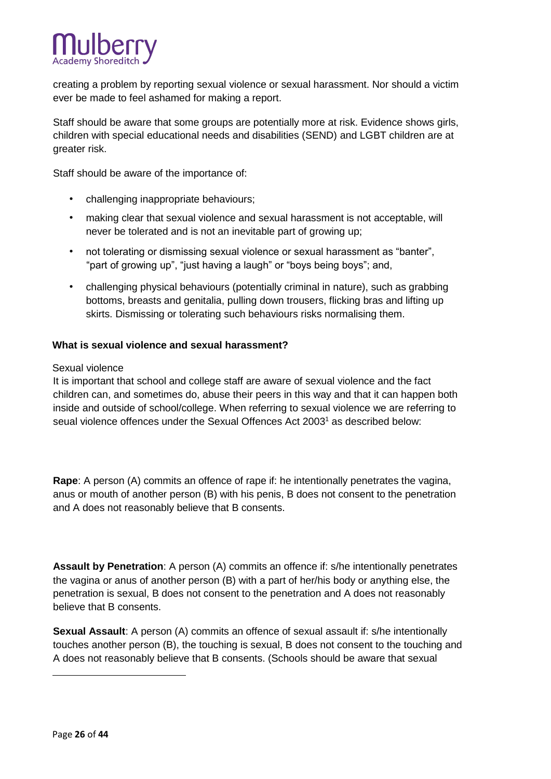

creating a problem by reporting sexual violence or sexual harassment. Nor should a victim ever be made to feel ashamed for making a report.

Staff should be aware that some groups are potentially more at risk. Evidence shows girls, children with special educational needs and disabilities (SEND) and LGBT children are at greater risk.

Staff should be aware of the importance of:

- challenging inappropriate behaviours;
- making clear that sexual violence and sexual harassment is not acceptable, will never be tolerated and is not an inevitable part of growing up;
- not tolerating or dismissing sexual violence or sexual harassment as "banter", "part of growing up", "just having a laugh" or "boys being boys"; and,
- challenging physical behaviours (potentially criminal in nature), such as grabbing bottoms, breasts and genitalia, pulling down trousers, flicking bras and lifting up skirts. Dismissing or tolerating such behaviours risks normalising them.

#### **What is sexual violence and sexual harassment?**

#### Sexual violence

It is important that school and college staff are aware of sexual violence and the fact children can, and sometimes do, abuse their peers in this way and that it can happen both inside and outside of school/college. When referring to sexual violence we are referring to seual violence offences under the Sexual Offences Act 2003<sup>1</sup> as described below:

**Rape**: A person (A) commits an offence of rape if: he intentionally penetrates the vagina, anus or mouth of another person (B) with his penis, B does not consent to the penetration and A does not reasonably believe that B consents.

**Assault by Penetration**: A person (A) commits an offence if: s/he intentionally penetrates the vagina or anus of another person (B) with a part of her/his body or anything else, the penetration is sexual, B does not consent to the penetration and A does not reasonably believe that B consents.

**Sexual Assault**: A person (A) commits an offence of sexual assault if: s/he intentionally touches another person (B), the touching is sexual, B does not consent to the touching and A does not reasonably believe that B consents. (Schools should be aware that sexual

1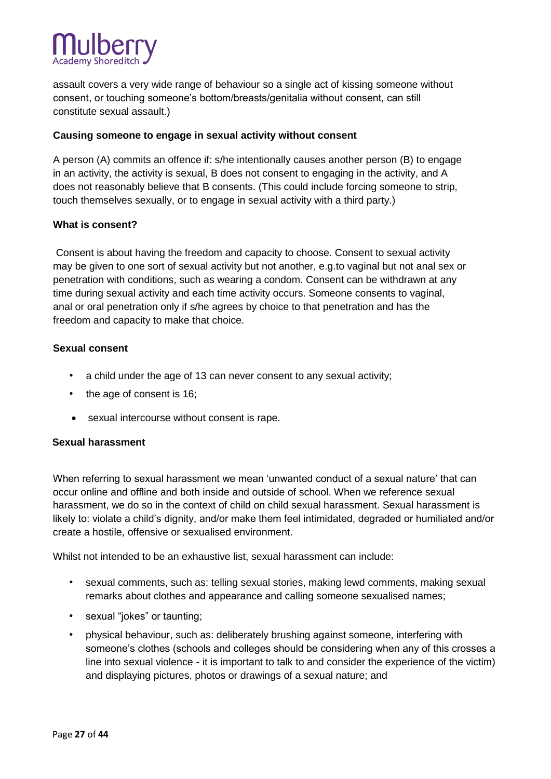

assault covers a very wide range of behaviour so a single act of kissing someone without consent, or touching someone's bottom/breasts/genitalia without consent, can still constitute sexual assault.)

#### **Causing someone to engage in sexual activity without consent**

A person (A) commits an offence if: s/he intentionally causes another person (B) to engage in an activity, the activity is sexual, B does not consent to engaging in the activity, and A does not reasonably believe that B consents. (This could include forcing someone to strip, touch themselves sexually, or to engage in sexual activity with a third party.)

#### **What is consent?**

Consent is about having the freedom and capacity to choose. Consent to sexual activity may be given to one sort of sexual activity but not another, e.g.to vaginal but not anal sex or penetration with conditions, such as wearing a condom. Consent can be withdrawn at any time during sexual activity and each time activity occurs. Someone consents to vaginal, anal or oral penetration only if s/he agrees by choice to that penetration and has the freedom and capacity to make that choice.

#### **[Sexual consent](https://rapecrisis.org.uk/get-informed/about-sexual-violence/sexual-consent/)**

- a child under the age of 13 can never consent to any sexual activity;
- the age of consent is 16;
- sexual intercourse without consent is rape.

#### **Sexual harassment**

When referring to sexual harassment we mean 'unwanted conduct of a sexual nature' that can occur online and offline and both inside and outside of school. When we reference sexual harassment, we do so in the context of child on child sexual harassment. Sexual harassment is likely to: violate a child's dignity, and/or make them feel intimidated, degraded or humiliated and/or create a hostile, offensive or sexualised environment.

Whilst not intended to be an exhaustive list, sexual harassment can include:

- sexual comments, such as: telling sexual stories, making lewd comments, making sexual remarks about clothes and appearance and calling someone sexualised names;
- sexual "jokes" or taunting;
- physical behaviour, such as: deliberately brushing against someone, interfering with someone's clothes (schools and colleges should be considering when any of this crosses a line into sexual violence - it is important to talk to and consider the experience of the victim) and displaying pictures, photos or drawings of a sexual nature; and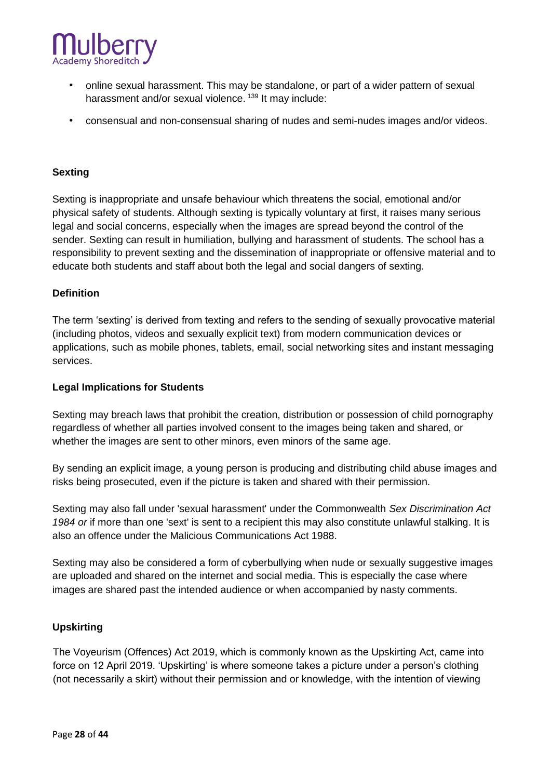

- online sexual harassment. This may be standalone, or part of a wider pattern of sexual harassment and/or sexual violence.<sup>139</sup> It may include:
- consensual and non-consensual sharing of nudes and semi-nudes images and/or videos.

#### **Sexting**

Sexting is inappropriate and unsafe behaviour which threatens the social, emotional and/or physical safety of students. Although sexting is typically voluntary at first, it raises many serious legal and social concerns, especially when the images are spread beyond the control of the sender. Sexting can result in humiliation, bullying and harassment of students. The school has a responsibility to prevent sexting and the dissemination of inappropriate or offensive material and to educate both students and staff about both the legal and social dangers of sexting.

#### **Definition**

The term 'sexting' is derived from texting and refers to the sending of sexually provocative material (including photos, videos and sexually explicit text) from modern communication devices or applications, such as mobile phones, tablets, email, social networking sites and instant messaging services.

#### **Legal Implications for Students**

Sexting may breach laws that prohibit the creation, distribution or possession of child pornography regardless of whether all parties involved consent to the images being taken and shared, or whether the images are sent to other minors, even minors of the same age.

By sending an explicit image, a young person is producing and distributing child abuse images and risks being prosecuted, even if the picture is taken and shared with their permission.

Sexting may also fall under 'sexual harassment' under the Commonwealth *Sex Discrimination Act* 1984 or if more than one 'sext' is sent to a recipient this may also constitute unlawful stalking. It is also an offence under the Malicious Communications Act 1988.

Sexting may also be considered a form of cyberbullying when nude or sexually suggestive images are uploaded and shared on the internet and social media. This is especially the case where images are shared past the intended audience or when accompanied by nasty comments.

#### **Upskirting**

The Voyeurism (Offences) Act 2019, which is commonly known as the Upskirting Act, came into force on 12 April 2019. 'Upskirting' is where someone takes a picture under a person's clothing (not necessarily a skirt) without their permission and or knowledge, with the intention of viewing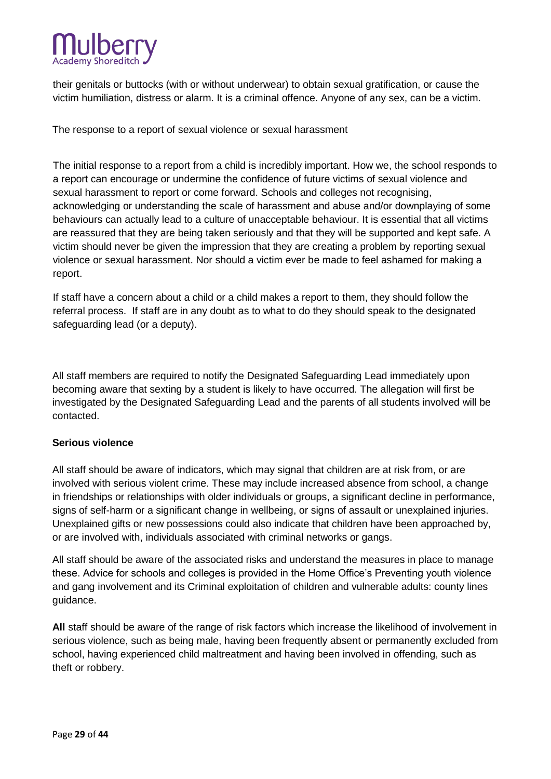

their genitals or buttocks (with or without underwear) to obtain sexual gratification, or cause the victim humiliation, distress or alarm. It is a criminal offence. Anyone of any sex, can be a victim.

The response to a report of sexual violence or sexual harassment

The initial response to a report from a child is incredibly important. How we, the school responds to a report can encourage or undermine the confidence of future victims of sexual violence and sexual harassment to report or come forward. Schools and colleges not recognising, acknowledging or understanding the scale of harassment and abuse and/or downplaying of some behaviours can actually lead to a culture of unacceptable behaviour. It is essential that all victims are reassured that they are being taken seriously and that they will be supported and kept safe. A victim should never be given the impression that they are creating a problem by reporting sexual violence or sexual harassment. Nor should a victim ever be made to feel ashamed for making a report.

If staff have a concern about a child or a child makes a report to them, they should follow the referral process. If staff are in any doubt as to what to do they should speak to the designated safeguarding lead (or a deputy).

All staff members are required to notify the Designated Safeguarding Lead immediately upon becoming aware that sexting by a student is likely to have occurred. The allegation will first be investigated by the Designated Safeguarding Lead and the parents of all students involved will be contacted.

#### **Serious violence**

All staff should be aware of indicators, which may signal that children are at risk from, or are involved with serious violent crime. These may include increased absence from school, a change in friendships or relationships with older individuals or groups, a significant decline in performance, signs of self-harm or a significant change in wellbeing, or signs of assault or unexplained injuries. Unexplained gifts or new possessions could also indicate that children have been approached by, or are involved with, individuals associated with criminal networks or gangs.

All staff should be aware of the associated risks and understand the measures in place to manage these. Advice for schools and colleges is provided in the Home Office's Preventing youth violence and gang involvement and its Criminal exploitation of children and vulnerable adults: county lines guidance.

**All** staff should be aware of the range of risk factors which increase the likelihood of involvement in serious violence, such as being male, having been frequently absent or permanently excluded from school, having experienced child maltreatment and having been involved in offending, such as theft or robbery.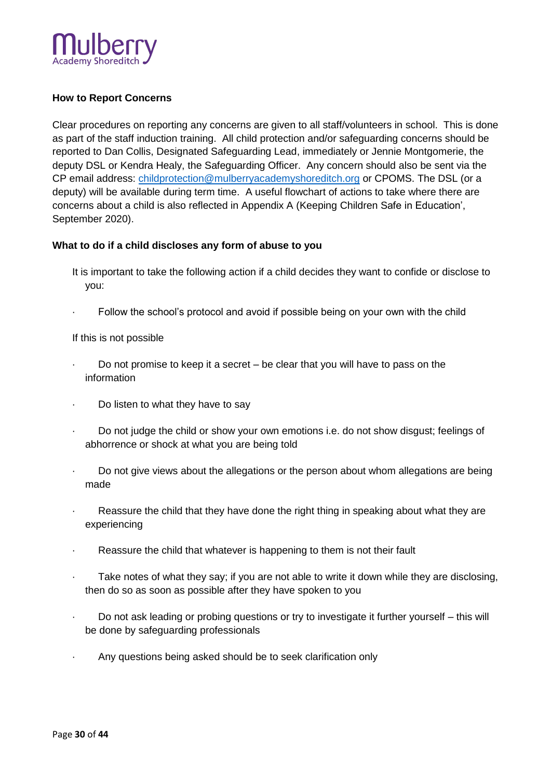

# **How to Report Concerns**

Clear procedures on reporting any concerns are given to all staff/volunteers in school. This is done as part of the staff induction training. All child protection and/or safeguarding concerns should be reported to Dan Collis, Designated Safeguarding Lead, immediately or Jennie Montgomerie, the deputy DSL or Kendra Healy, the Safeguarding Officer. Any concern should also be sent via the CP email address: [childprotection@m](mailto:childprotection@)ulberryacademyshoreditch.org or CPOMS. The DSL (or a deputy) will be available during term time. A useful flowchart of actions to take where there are concerns about a child is also reflected in Appendix A (Keeping Children Safe in Education', September 2020).

#### **What to do if a child discloses any form of abuse to you**

- It is important to take the following action if a child decides they want to confide or disclose to you:
- Follow the school's protocol and avoid if possible being on your own with the child

If this is not possible

- Do not promise to keep it a secret  $-$  be clear that you will have to pass on the information
- Do listen to what they have to say
- · Do not judge the child or show your own emotions i.e. do not show disgust; feelings of abhorrence or shock at what you are being told
- Do not give views about the allegations or the person about whom allegations are being made
- Reassure the child that they have done the right thing in speaking about what they are experiencing
- Reassure the child that whatever is happening to them is not their fault
- Take notes of what they say; if you are not able to write it down while they are disclosing, then do so as soon as possible after they have spoken to you
- · Do not ask leading or probing questions or try to investigate it further yourself this will be done by safeguarding professionals
- Any questions being asked should be to seek clarification only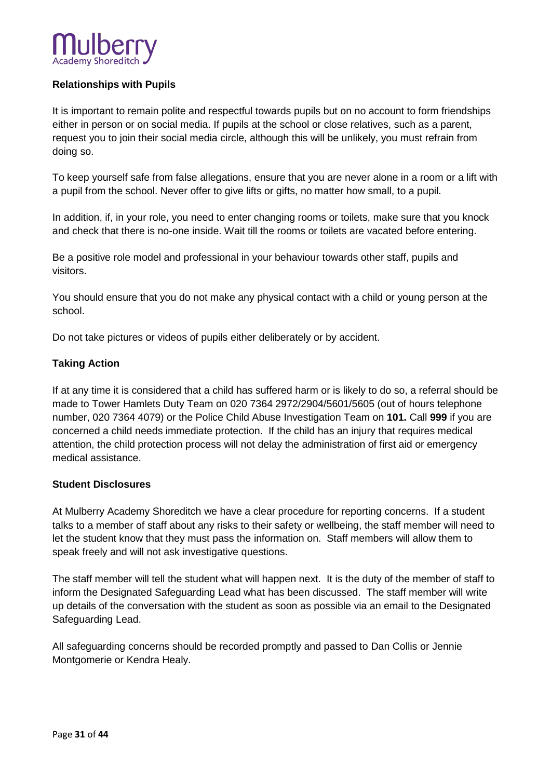# **Relationships with Pupils**

It is important to remain polite and respectful towards pupils but on no account to form friendships either in person or on social media. If pupils at the school or close relatives, such as a parent, request you to join their social media circle, although this will be unlikely, you must refrain from doing so.

To keep yourself safe from false allegations, ensure that you are never alone in a room or a lift with a pupil from the school. Never offer to give lifts or gifts, no matter how small, to a pupil.

In addition, if, in your role, you need to enter changing rooms or toilets, make sure that you knock and check that there is no-one inside. Wait till the rooms or toilets are vacated before entering.

Be a positive role model and professional in your behaviour towards other staff, pupils and visitors.

You should ensure that you do not make any physical contact with a child or young person at the school.

Do not take pictures or videos of pupils either deliberately or by accident.

## **Taking Action**

If at any time it is considered that a child has suffered harm or is likely to do so, a referral should be made to Tower Hamlets Duty Team on 020 7364 2972/2904/5601/5605 (out of hours telephone number, 020 7364 4079) or the Police Child Abuse Investigation Team on **101.** Call **999** if you are concerned a child needs immediate protection. If the child has an injury that requires medical attention, the child protection process will not delay the administration of first aid or emergency medical assistance.

# **Student Disclosures**

At Mulberry Academy Shoreditch we have a clear procedure for reporting concerns. If a student talks to a member of staff about any risks to their safety or wellbeing, the staff member will need to let the student know that they must pass the information on. Staff members will allow them to speak freely and will not ask investigative questions.

The staff member will tell the student what will happen next. It is the duty of the member of staff to inform the Designated Safeguarding Lead what has been discussed. The staff member will write up details of the conversation with the student as soon as possible via an email to the Designated Safeguarding Lead.

All safeguarding concerns should be recorded promptly and passed to Dan Collis or Jennie Montgomerie or Kendra Healy.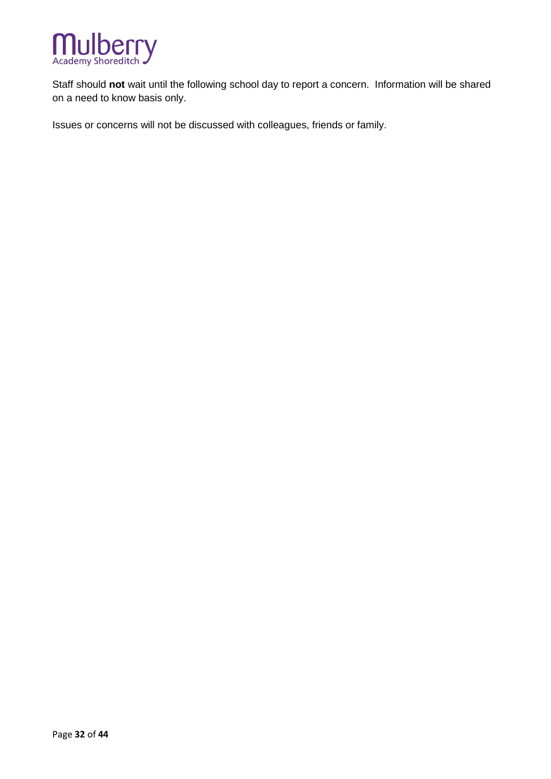

Staff should **not** wait until the following school day to report a concern. Information will be shared on a need to know basis only.

Issues or concerns will not be discussed with colleagues, friends or family.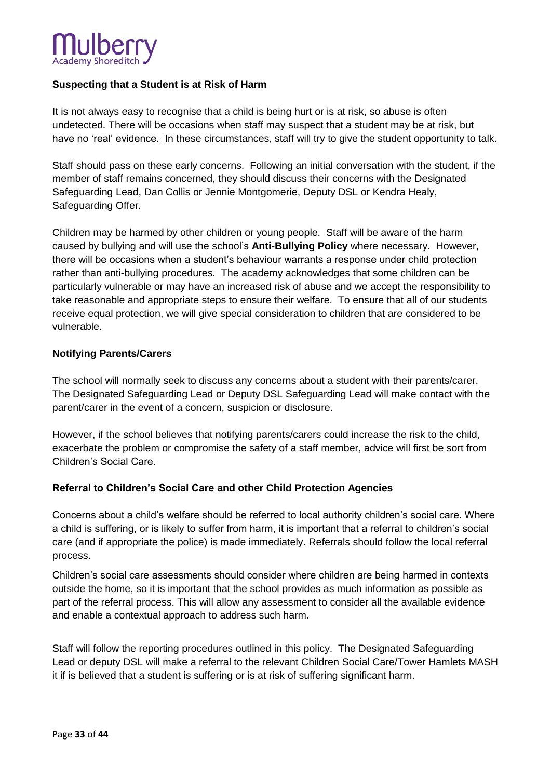

## **Suspecting that a Student is at Risk of Harm**

It is not always easy to recognise that a child is being hurt or is at risk, so abuse is often undetected. There will be occasions when staff may suspect that a student may be at risk, but have no 'real' evidence. In these circumstances, staff will try to give the student opportunity to talk.

Staff should pass on these early concerns. Following an initial conversation with the student, if the member of staff remains concerned, they should discuss their concerns with the Designated Safeguarding Lead, Dan Collis or Jennie Montgomerie, Deputy DSL or Kendra Healy, Safeguarding Offer.

Children may be harmed by other children or young people. Staff will be aware of the harm caused by bullying and will use the school's **Anti-Bullying Policy** where necessary. However, there will be occasions when a student's behaviour warrants a response under child protection rather than anti-bullying procedures. The academy acknowledges that some children can be particularly vulnerable or may have an increased risk of abuse and we accept the responsibility to take reasonable and appropriate steps to ensure their welfare. To ensure that all of our students receive equal protection, we will give special consideration to children that are considered to be vulnerable.

#### **Notifying Parents/Carers**

The school will normally seek to discuss any concerns about a student with their parents/carer. The Designated Safeguarding Lead or Deputy DSL Safeguarding Lead will make contact with the parent/carer in the event of a concern, suspicion or disclosure.

However, if the school believes that notifying parents/carers could increase the risk to the child, exacerbate the problem or compromise the safety of a staff member, advice will first be sort from Children's Social Care.

#### **Referral to Children's Social Care and other Child Protection Agencies**

Concerns about a child's welfare should be referred to local authority children's social care. Where a child is suffering, or is likely to suffer from harm, it is important that a referral to children's social care (and if appropriate the police) is made immediately. Referrals should follow the local referral process.

Children's social care assessments should consider where children are being harmed in contexts outside the home, so it is important that the school provides as much information as possible as part of the referral process. This will allow any assessment to consider all the available evidence and enable a contextual approach to address such harm.

Staff will follow the reporting procedures outlined in this policy. The Designated Safeguarding Lead or deputy DSL will make a referral to the relevant Children Social Care/Tower Hamlets MASH it if is believed that a student is suffering or is at risk of suffering significant harm.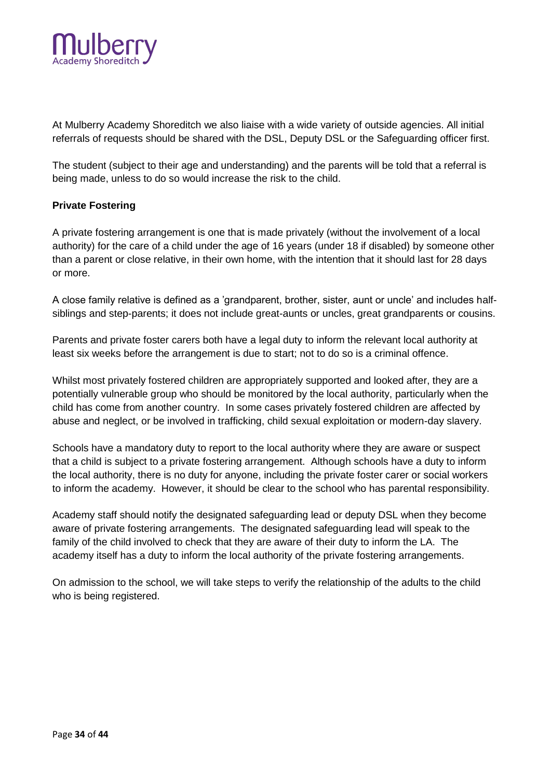

At Mulberry Academy Shoreditch we also liaise with a wide variety of outside agencies. All initial referrals of requests should be shared with the DSL, Deputy DSL or the Safeguarding officer first.

The student (subject to their age and understanding) and the parents will be told that a referral is being made, unless to do so would increase the risk to the child.

#### **Private Fostering**

A private fostering arrangement is one that is made privately (without the involvement of a local authority) for the care of a child under the age of 16 years (under 18 if disabled) by someone other than a parent or close relative, in their own home, with the intention that it should last for 28 days or more.

A close family relative is defined as a 'grandparent, brother, sister, aunt or uncle' and includes halfsiblings and step-parents; it does not include great-aunts or uncles, great grandparents or cousins.

Parents and private foster carers both have a legal duty to inform the relevant local authority at least six weeks before the arrangement is due to start; not to do so is a criminal offence.

Whilst most privately fostered children are appropriately supported and looked after, they are a potentially vulnerable group who should be monitored by the local authority, particularly when the child has come from another country. In some cases privately fostered children are affected by abuse and neglect, or be involved in trafficking, child sexual exploitation or modern-day slavery.

Schools have a mandatory duty to report to the local authority where they are aware or suspect that a child is subject to a private fostering arrangement. Although schools have a duty to inform the local authority, there is no duty for anyone, including the private foster carer or social workers to inform the academy. However, it should be clear to the school who has parental responsibility.

Academy staff should notify the designated safeguarding lead or deputy DSL when they become aware of private fostering arrangements. The designated safeguarding lead will speak to the family of the child involved to check that they are aware of their duty to inform the LA. The academy itself has a duty to inform the local authority of the private fostering arrangements.

On admission to the school, we will take steps to verify the relationship of the adults to the child who is being registered.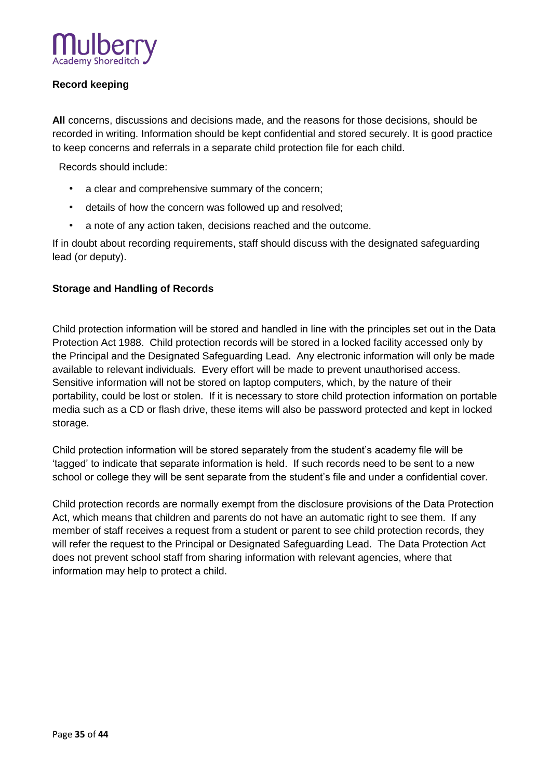

# **Record keeping**

**All** concerns, discussions and decisions made, and the reasons for those decisions, should be recorded in writing. Information should be kept confidential and stored securely. It is good practice to keep concerns and referrals in a separate child protection file for each child.

Records should include:

- a clear and comprehensive summary of the concern;
- details of how the concern was followed up and resolved;
- a note of any action taken, decisions reached and the outcome.

If in doubt about recording requirements, staff should discuss with the designated safeguarding lead (or deputy).

# **Storage and Handling of Records**

Child protection information will be stored and handled in line with the principles set out in the Data Protection Act 1988. Child protection records will be stored in a locked facility accessed only by the Principal and the Designated Safeguarding Lead. Any electronic information will only be made available to relevant individuals. Every effort will be made to prevent unauthorised access. Sensitive information will not be stored on laptop computers, which, by the nature of their portability, could be lost or stolen. If it is necessary to store child protection information on portable media such as a CD or flash drive, these items will also be password protected and kept in locked storage.

Child protection information will be stored separately from the student's academy file will be 'tagged' to indicate that separate information is held. If such records need to be sent to a new school or college they will be sent separate from the student's file and under a confidential cover.

Child protection records are normally exempt from the disclosure provisions of the Data Protection Act, which means that children and parents do not have an automatic right to see them. If any member of staff receives a request from a student or parent to see child protection records, they will refer the request to the Principal or Designated Safeguarding Lead. The Data Protection Act does not prevent school staff from sharing information with relevant agencies, where that information may help to protect a child.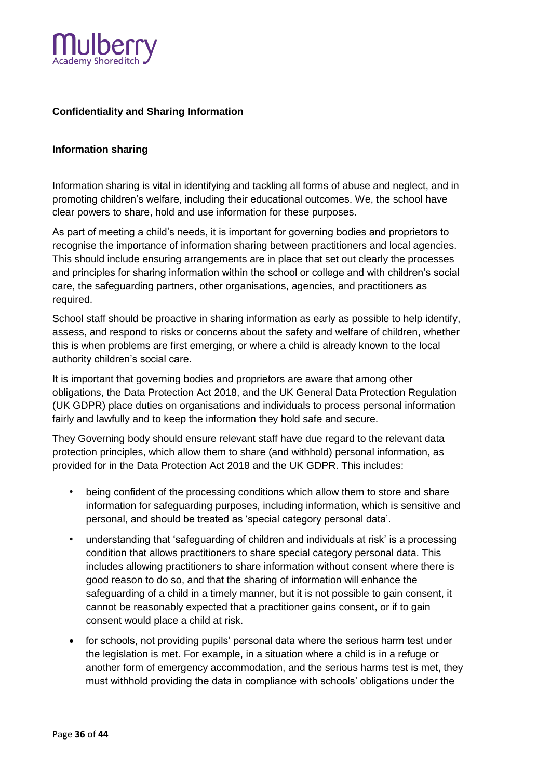

# **Confidentiality and Sharing Information**

#### **Information sharing**

Information sharing is vital in identifying and tackling all forms of abuse and neglect, and in promoting children's welfare, including their educational outcomes. We, the school have clear powers to share, hold and use information for these purposes.

As part of meeting a child's needs, it is important for governing bodies and proprietors to recognise the importance of information sharing between practitioners and local agencies. This should include ensuring arrangements are in place that set out clearly the processes and principles for sharing information within the school or college and with children's social care, the safeguarding partners, other organisations, agencies, and practitioners as required.

School staff should be proactive in sharing information as early as possible to help identify, assess, and respond to risks or concerns about the safety and welfare of children, whether this is when problems are first emerging, or where a child is already known to the local authority children's social care.

It is important that governing bodies and proprietors are aware that among other obligations, the Data Protection Act 2018, and the UK General Data Protection Regulation (UK GDPR) place duties on organisations and individuals to process personal information fairly and lawfully and to keep the information they hold safe and secure.

They Governing body should ensure relevant staff have due regard to the relevant data protection principles, which allow them to share (and withhold) personal information, as provided for in the Data Protection Act 2018 and the UK GDPR. This includes:

- being confident of the processing conditions which allow them to store and share information for safeguarding purposes, including information, which is sensitive and personal, and should be treated as 'special category personal data'.
- understanding that 'safeguarding of children and individuals at risk' is a processing condition that allows practitioners to share special category personal data. This includes allowing practitioners to share information without consent where there is good reason to do so, and that the sharing of information will enhance the safeguarding of a child in a timely manner, but it is not possible to gain consent, it cannot be reasonably expected that a practitioner gains consent, or if to gain consent would place a child at risk.
- for schools, not providing pupils' personal data where the serious harm test under the legislation is met. For example, in a situation where a child is in a refuge or another form of emergency accommodation, and the serious harms test is met, they must withhold providing the data in compliance with schools' obligations under the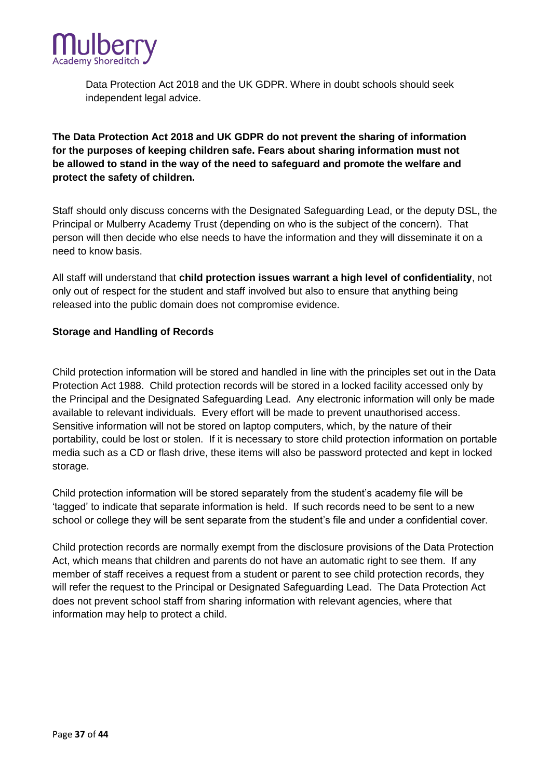

Data Protection Act 2018 and the UK GDPR. Where in doubt schools should seek independent legal advice.

# **The Data Protection Act 2018 and UK GDPR do not prevent the sharing of information for the purposes of keeping children safe. Fears about sharing information must not be allowed to stand in the way of the need to safeguard and promote the welfare and protect the safety of children.**

Staff should only discuss concerns with the Designated Safeguarding Lead, or the deputy DSL, the Principal or Mulberry Academy Trust (depending on who is the subject of the concern). That person will then decide who else needs to have the information and they will disseminate it on a need to know basis.

All staff will understand that **child protection issues warrant a high level of confidentiality**, not only out of respect for the student and staff involved but also to ensure that anything being released into the public domain does not compromise evidence.

#### **Storage and Handling of Records**

Child protection information will be stored and handled in line with the principles set out in the Data Protection Act 1988. Child protection records will be stored in a locked facility accessed only by the Principal and the Designated Safeguarding Lead. Any electronic information will only be made available to relevant individuals. Every effort will be made to prevent unauthorised access. Sensitive information will not be stored on laptop computers, which, by the nature of their portability, could be lost or stolen. If it is necessary to store child protection information on portable media such as a CD or flash drive, these items will also be password protected and kept in locked storage.

Child protection information will be stored separately from the student's academy file will be 'tagged' to indicate that separate information is held. If such records need to be sent to a new school or college they will be sent separate from the student's file and under a confidential cover.

Child protection records are normally exempt from the disclosure provisions of the Data Protection Act, which means that children and parents do not have an automatic right to see them. If any member of staff receives a request from a student or parent to see child protection records, they will refer the request to the Principal or Designated Safeguarding Lead. The Data Protection Act does not prevent school staff from sharing information with relevant agencies, where that information may help to protect a child.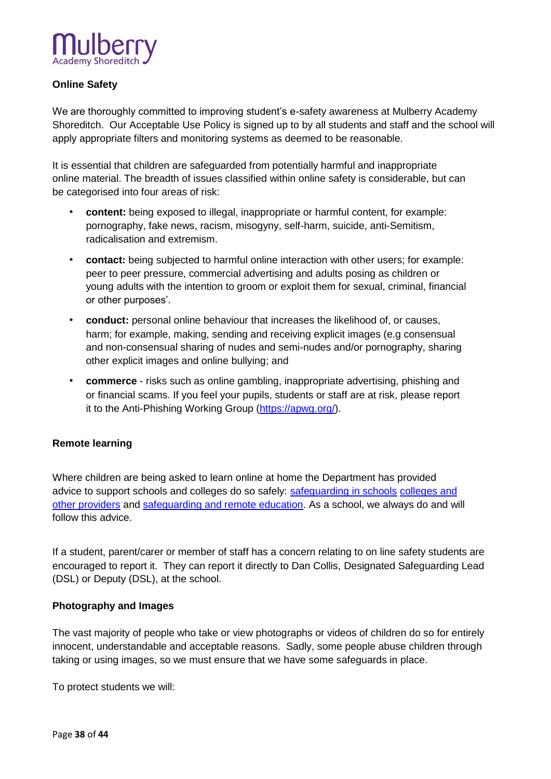

# **Online Safety**

We are thoroughly committed to improving student's e-safety awareness at Mulberry Academy Shoreditch. Our Acceptable Use Policy is signed up to by all students and staff and the school will apply appropriate filters and monitoring systems as deemed to be reasonable.

It is essential that children are safeguarded from potentially harmful and inappropriate online material. The breadth of issues classified within online safety is considerable, but can be categorised into four areas of risk:

- **content:** being exposed to illegal, inappropriate or harmful content, for example: pornography, fake news, racism, misogyny, self-harm, suicide, anti-Semitism, radicalisation and extremism.
- **contact:** being subjected to harmful online interaction with other users; for example: peer to peer pressure, commercial advertising and adults posing as children or young adults with the intention to groom or exploit them for sexual, criminal, financial or other purposes'.
- **conduct:** personal online behaviour that increases the likelihood of, or causes, harm; for example, making, sending and receiving explicit images (e.g consensual and non-consensual sharing of nudes and semi-nudes and/or pornography, sharing other explicit images and online bullying; and
- **commerce** risks such as online gambling, inappropriate advertising, phishing and or financial scams. If you feel your pupils, students or staff are at risk, please report it to the Anti-Phishing Working Group [\(https://apwg.org/\).](https://apwg.org/)

#### **Remote learning**

Where children are being asked to learn online at home the Department has provided advice to support schools and colleges do so safely: [safeguarding in schools](https://www.gov.uk/government/publications/actions-for-schools-during-the-coronavirus-outbreak/guidance-for-full-opening-schools#res) [colleges and](https://www.gov.uk/government/publications/actions-for-schools-during-the-coronavirus-outbreak/guidance-for-full-opening-schools#res)  [other providers](https://www.gov.uk/government/publications/actions-for-schools-during-the-coronavirus-outbreak/guidance-for-full-opening-schools#res) and [safeguarding and remote education.](https://www.gov.uk/guidance/safeguarding-and-remote-education-during-coronavirus-covid-19) As a school, we always do and will follow this advice.

If a student, parent/carer or member of staff has a concern relating to on line safety students are encouraged to report it. They can report it directly to Dan Collis, Designated Safeguarding Lead (DSL) or Deputy (DSL), at the school.

#### **Photography and Images**

The vast majority of people who take or view photographs or videos of children do so for entirely innocent, understandable and acceptable reasons. Sadly, some people abuse children through taking or using images, so we must ensure that we have some safeguards in place.

To protect students we will: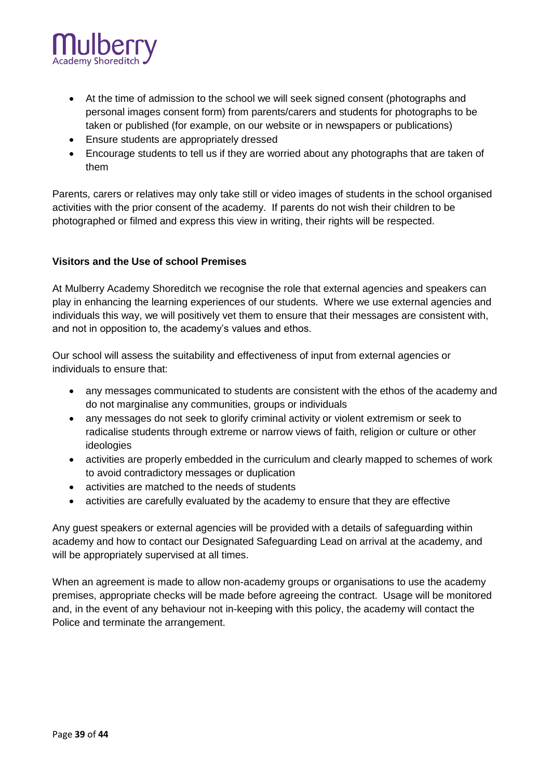

- At the time of admission to the school we will seek signed consent (photographs and personal images consent form) from parents/carers and students for photographs to be taken or published (for example, on our website or in newspapers or publications)
- Ensure students are appropriately dressed
- Encourage students to tell us if they are worried about any photographs that are taken of them

Parents, carers or relatives may only take still or video images of students in the school organised activities with the prior consent of the academy. If parents do not wish their children to be photographed or filmed and express this view in writing, their rights will be respected.

#### **Visitors and the Use of school Premises**

At Mulberry Academy Shoreditch we recognise the role that external agencies and speakers can play in enhancing the learning experiences of our students. Where we use external agencies and individuals this way, we will positively vet them to ensure that their messages are consistent with, and not in opposition to, the academy's values and ethos.

Our school will assess the suitability and effectiveness of input from external agencies or individuals to ensure that:

- any messages communicated to students are consistent with the ethos of the academy and do not marginalise any communities, groups or individuals
- any messages do not seek to glorify criminal activity or violent extremism or seek to radicalise students through extreme or narrow views of faith, religion or culture or other ideologies
- activities are properly embedded in the curriculum and clearly mapped to schemes of work to avoid contradictory messages or duplication
- activities are matched to the needs of students
- activities are carefully evaluated by the academy to ensure that they are effective

Any guest speakers or external agencies will be provided with a details of safeguarding within academy and how to contact our Designated Safeguarding Lead on arrival at the academy, and will be appropriately supervised at all times.

When an agreement is made to allow non-academy groups or organisations to use the academy premises, appropriate checks will be made before agreeing the contract. Usage will be monitored and, in the event of any behaviour not in-keeping with this policy, the academy will contact the Police and terminate the arrangement.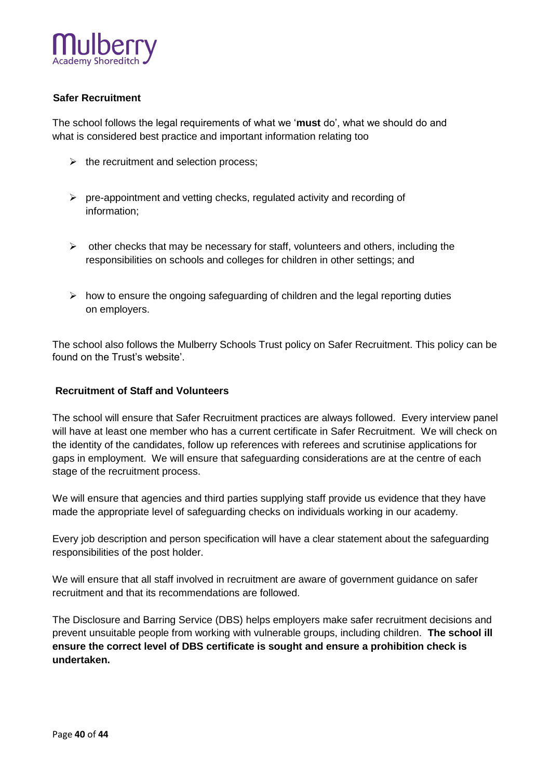

# **Safer Recruitment**

The school follows the legal requirements of what we '**must** do', what we should do and what is considered best practice and important information relating too

- $\triangleright$  the recruitment and selection process;
- $\triangleright$  pre-appointment and vetting checks, regulated activity and recording of information;
- $\triangleright$  other checks that may be necessary for staff, volunteers and others, including the responsibilities on schools and colleges for children in other settings; and
- $\triangleright$  how to ensure the ongoing safeguarding of children and the legal reporting duties on employers.

The school also follows the Mulberry Schools Trust policy on Safer Recruitment. This policy can be found on the Trust's website'.

#### **Recruitment of Staff and Volunteers**

The school will ensure that Safer Recruitment practices are always followed. Every interview panel will have at least one member who has a current certificate in Safer Recruitment. We will check on the identity of the candidates, follow up references with referees and scrutinise applications for gaps in employment. We will ensure that safeguarding considerations are at the centre of each stage of the recruitment process.

We will ensure that agencies and third parties supplying staff provide us evidence that they have made the appropriate level of safeguarding checks on individuals working in our academy.

Every job description and person specification will have a clear statement about the safeguarding responsibilities of the post holder.

We will ensure that all staff involved in recruitment are aware of government guidance on safer recruitment and that its recommendations are followed.

The Disclosure and Barring Service (DBS) helps employers make safer recruitment decisions and prevent unsuitable people from working with vulnerable groups, including children. **The school ill ensure the correct level of DBS certificate is sought and ensure a prohibition check is undertaken.**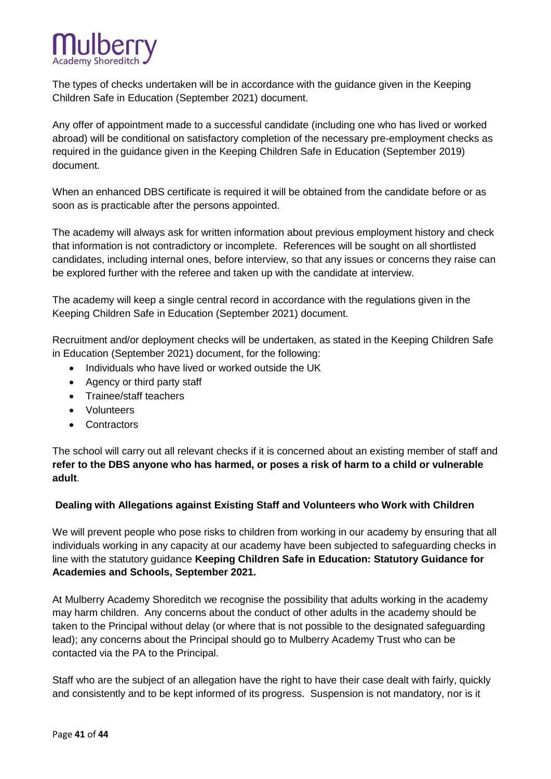

The types of checks undertaken will be in accordance with the guidance given in the Keeping Children Safe in Education (September 2021) document.

Any offer of appointment made to a successful candidate (including one who has lived or worked abroad) will be conditional on satisfactory completion of the necessary pre-employment checks as required in the guidance given in the Keeping Children Safe in Education (September 2019) document.

When an enhanced DBS certificate is required it will be obtained from the candidate before or as soon as is practicable after the persons appointed.

The academy will always ask for written information about previous employment history and check that information is not contradictory or incomplete. References will be sought on all shortlisted candidates, including internal ones, before interview, so that any issues or concerns they raise can be explored further with the referee and taken up with the candidate at interview.

The academy will keep a single central record in accordance with the regulations given in the Keeping Children Safe in Education (September 2021) document.

Recruitment and/or deployment checks will be undertaken, as stated in the Keeping Children Safe in Education (September 2021) document, for the following:

- Individuals who have lived or worked outside the UK
- Agency or third party staff
- Trainee/staff teachers
- Volunteers
- Contractors

The school will carry out all relevant checks if it is concerned about an existing member of staff and **refer to the DBS anyone who has harmed, or poses a risk of harm to a child or vulnerable adult**.

#### **Dealing with Allegations against Existing Staff and Volunteers who Work with Children**

We will prevent people who pose risks to children from working in our academy by ensuring that all individuals working in any capacity at our academy have been subjected to safeguarding checks in line with the statutory guidance **Keeping Children Safe in Education: Statutory Guidance for Academies and Schools, September 2021.**

At Mulberry Academy Shoreditch we recognise the possibility that adults working in the academy may harm children. Any concerns about the conduct of other adults in the academy should be taken to the Principal without delay (or where that is not possible to the designated safeguarding lead); any concerns about the Principal should go to Mulberry Academy Trust who can be contacted via the PA to the Principal.

Staff who are the subject of an allegation have the right to have their case dealt with fairly, quickly and consistently and to be kept informed of its progress. Suspension is not mandatory, nor is it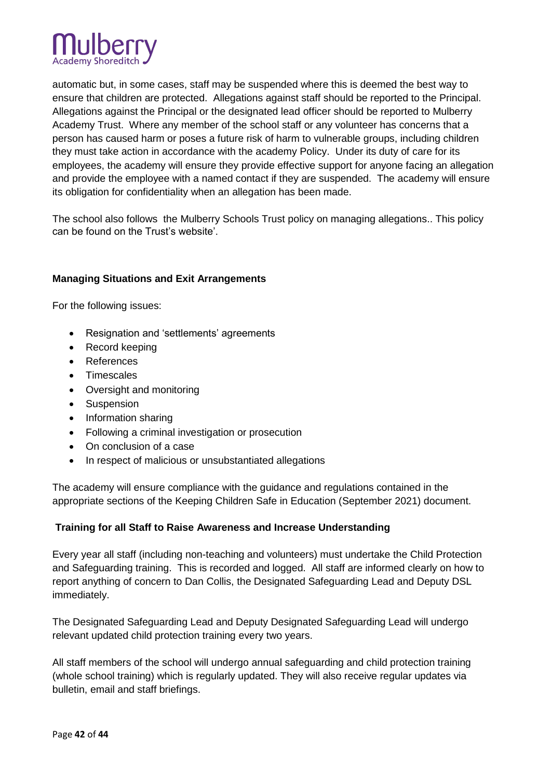

automatic but, in some cases, staff may be suspended where this is deemed the best way to ensure that children are protected. Allegations against staff should be reported to the Principal. Allegations against the Principal or the designated lead officer should be reported to Mulberry Academy Trust. Where any member of the school staff or any volunteer has concerns that a person has caused harm or poses a future risk of harm to vulnerable groups, including children they must take action in accordance with the academy Policy. Under its duty of care for its employees, the academy will ensure they provide effective support for anyone facing an allegation and provide the employee with a named contact if they are suspended. The academy will ensure its obligation for confidentiality when an allegation has been made.

The school also follows the Mulberry Schools Trust policy on managing allegations.. This policy can be found on the Trust's website'.

# **Managing Situations and Exit Arrangements**

For the following issues:

- Resignation and 'settlements' agreements
- Record keeping
- References
- Timescales
- Oversight and monitoring
- Suspension
- Information sharing
- Following a criminal investigation or prosecution
- On conclusion of a case
- In respect of malicious or unsubstantiated allegations

The academy will ensure compliance with the guidance and regulations contained in the appropriate sections of the Keeping Children Safe in Education (September 2021) document.

#### **Training for all Staff to Raise Awareness and Increase Understanding**

Every year all staff (including non-teaching and volunteers) must undertake the Child Protection and Safeguarding training. This is recorded and logged. All staff are informed clearly on how to report anything of concern to Dan Collis, the Designated Safeguarding Lead and Deputy DSL immediately.

The Designated Safeguarding Lead and Deputy Designated Safeguarding Lead will undergo relevant updated child protection training every two years.

All staff members of the school will undergo annual safeguarding and child protection training (whole school training) which is regularly updated. They will also receive regular updates via bulletin, email and staff briefings.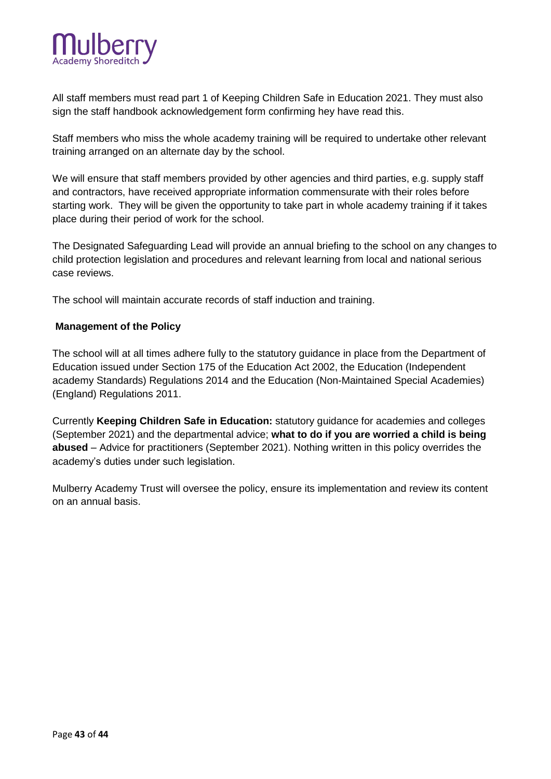

All staff members must read part 1 of Keeping Children Safe in Education 2021. They must also sign the staff handbook acknowledgement form confirming hey have read this.

Staff members who miss the whole academy training will be required to undertake other relevant training arranged on an alternate day by the school.

We will ensure that staff members provided by other agencies and third parties, e.g. supply staff and contractors, have received appropriate information commensurate with their roles before starting work. They will be given the opportunity to take part in whole academy training if it takes place during their period of work for the school.

The Designated Safeguarding Lead will provide an annual briefing to the school on any changes to child protection legislation and procedures and relevant learning from local and national serious case reviews.

The school will maintain accurate records of staff induction and training.

#### **Management of the Policy**

The school will at all times adhere fully to the statutory guidance in place from the Department of Education issued under Section 175 of the Education Act 2002, the Education (Independent academy Standards) Regulations 2014 and the Education (Non-Maintained Special Academies) (England) Regulations 2011.

Currently **Keeping Children Safe in Education:** statutory guidance for academies and colleges (September 2021) and the departmental advice; **what to do if you are worried a child is being abused** – Advice for practitioners (September 2021). Nothing written in this policy overrides the academy's duties under such legislation.

Mulberry Academy Trust will oversee the policy, ensure its implementation and review its content on an annual basis.